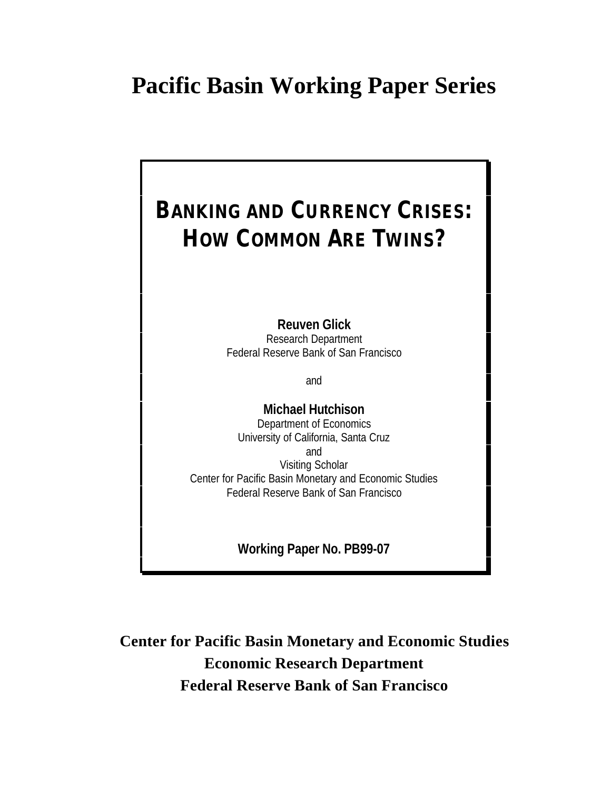# **Pacific Basin Working Paper Series**

# **BANKING AND CURRENCY CRISES: HOW COMMON ARE TWINS?**

## **Reuven Glick**

Research Department Federal Reserve Bank of San Francisco

and

## **Michael Hutchison**

Department of Economics University of California, Santa Cruz and Visiting Scholar Center for Pacific Basin Monetary and Economic Studies Federal Reserve Bank of San Francisco

**Working Paper No. PB99-07**

**Center for Pacific Basin Monetary and Economic Studies Economic Research Department Federal Reserve Bank of San Francisco**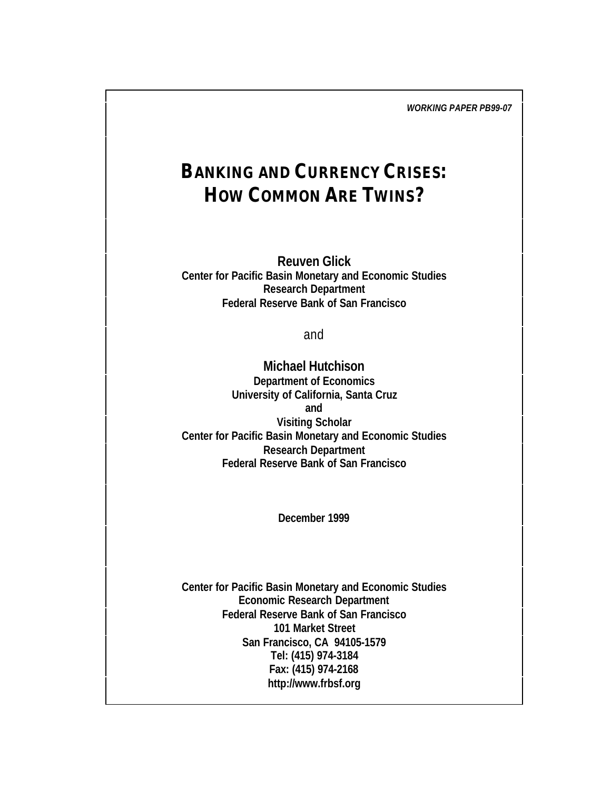*WORKING PAPER PB99-07*

## **BANKING AND CURRENCY CRISES: HOW COMMON ARE TWINS?**

**Reuven Glick Center for Pacific Basin Monetary and Economic Studies Research Department Federal Reserve Bank of San Francisco**

and

**Michael Hutchison Department of Economics University of California, Santa Cruz and Visiting Scholar Center for Pacific Basin Monetary and Economic Studies Research Department Federal Reserve Bank of San Francisco**

**December 1999**

**Center for Pacific Basin Monetary and Economic Studies Economic Research Department Federal Reserve Bank of San Francisco 101 Market Street San Francisco, CA 94105-1579 Tel: (415) 974-3184 Fax: (415) 974-2168 http://www.frbsf.org**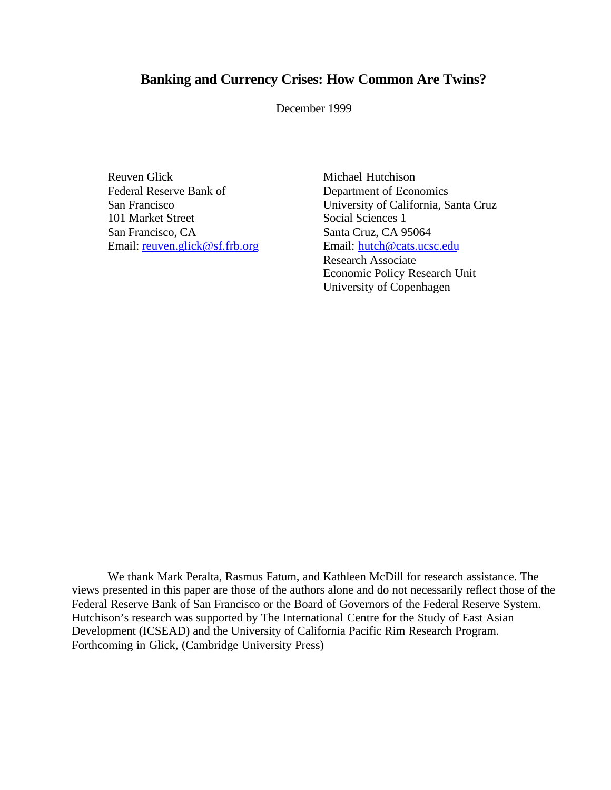## **Banking and Currency Crises: How Common Are Twins?**

December 1999

Reuven Glick Michael Hutchison Federal Reserve Bank of Department of Economics 101 Market Street Social Sciences 1 San Francisco, CA Santa Cruz, CA 95064 Email: reuven.glick@sf.frb.org Email: hutch@cats.ucsc.edu

San Francisco University of California, Santa Cruz Research Associate Economic Policy Research Unit University of Copenhagen

We thank Mark Peralta, Rasmus Fatum, and Kathleen McDill for research assistance. The views presented in this paper are those of the authors alone and do not necessarily reflect those of the Federal Reserve Bank of San Francisco or the Board of Governors of the Federal Reserve System. Hutchison's research was supported by The International Centre for the Study of East Asian Development (ICSEAD) and the University of California Pacific Rim Research Program. Forthcoming in Glick, (Cambridge University Press)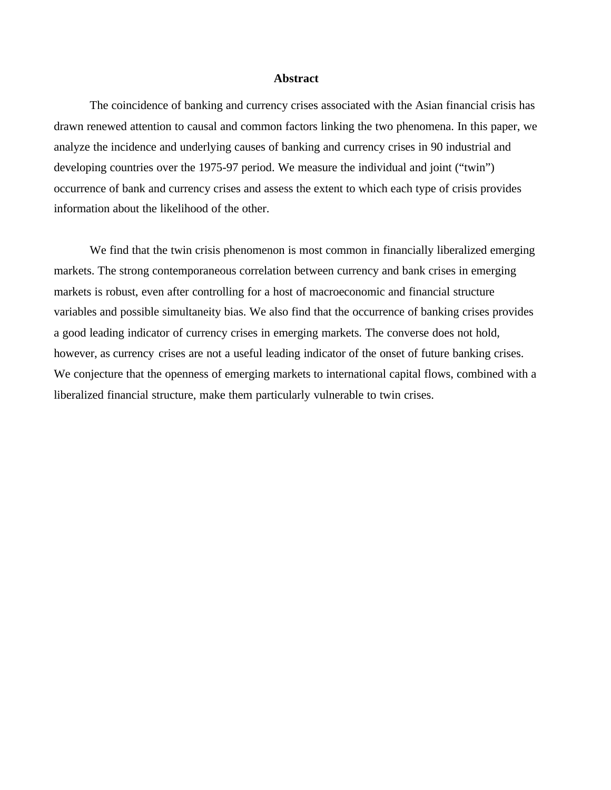#### **Abstract**

The coincidence of banking and currency crises associated with the Asian financial crisis has drawn renewed attention to causal and common factors linking the two phenomena. In this paper, we analyze the incidence and underlying causes of banking and currency crises in 90 industrial and developing countries over the 1975-97 period. We measure the individual and joint ("twin") occurrence of bank and currency crises and assess the extent to which each type of crisis provides information about the likelihood of the other.

We find that the twin crisis phenomenon is most common in financially liberalized emerging markets. The strong contemporaneous correlation between currency and bank crises in emerging markets is robust, even after controlling for a host of macroeconomic and financial structure variables and possible simultaneity bias. We also find that the occurrence of banking crises provides a good leading indicator of currency crises in emerging markets. The converse does not hold, however, as currency crises are not a useful leading indicator of the onset of future banking crises. We conjecture that the openness of emerging markets to international capital flows, combined with a liberalized financial structure, make them particularly vulnerable to twin crises.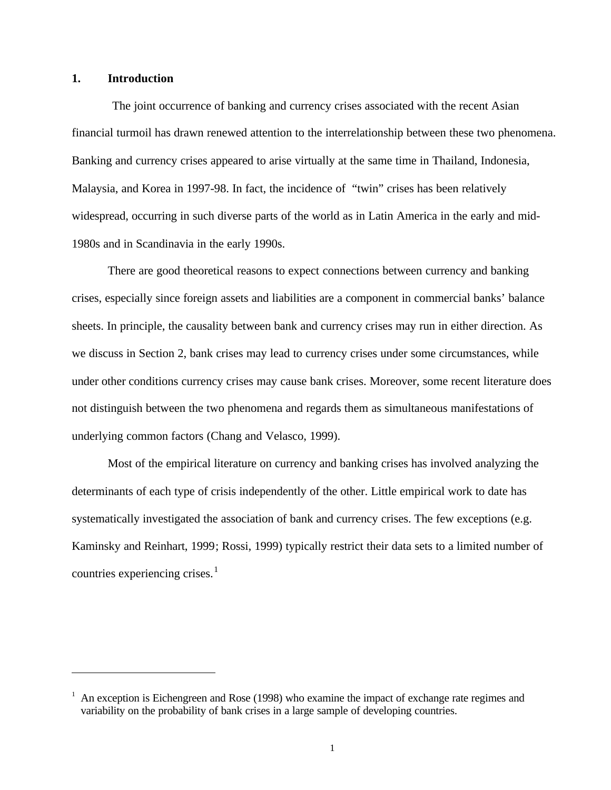#### **1. Introduction**

 $\overline{a}$ 

The joint occurrence of banking and currency crises associated with the recent Asian financial turmoil has drawn renewed attention to the interrelationship between these two phenomena. Banking and currency crises appeared to arise virtually at the same time in Thailand, Indonesia, Malaysia, and Korea in 1997-98. In fact, the incidence of "twin" crises has been relatively widespread, occurring in such diverse parts of the world as in Latin America in the early and mid-1980s and in Scandinavia in the early 1990s.

There are good theoretical reasons to expect connections between currency and banking crises, especially since foreign assets and liabilities are a component in commercial banks' balance sheets. In principle, the causality between bank and currency crises may run in either direction. As we discuss in Section 2, bank crises may lead to currency crises under some circumstances, while under other conditions currency crises may cause bank crises. Moreover, some recent literature does not distinguish between the two phenomena and regards them as simultaneous manifestations of underlying common factors (Chang and Velasco, 1999).

Most of the empirical literature on currency and banking crises has involved analyzing the determinants of each type of crisis independently of the other. Little empirical work to date has systematically investigated the association of bank and currency crises. The few exceptions (e.g. Kaminsky and Reinhart, 1999; Rossi, 1999) typically restrict their data sets to a limited number of countries experiencing crises. $<sup>1</sup>$ </sup>

 $1$  An exception is Eichengreen and Rose (1998) who examine the impact of exchange rate regimes and variability on the probability of bank crises in a large sample of developing countries.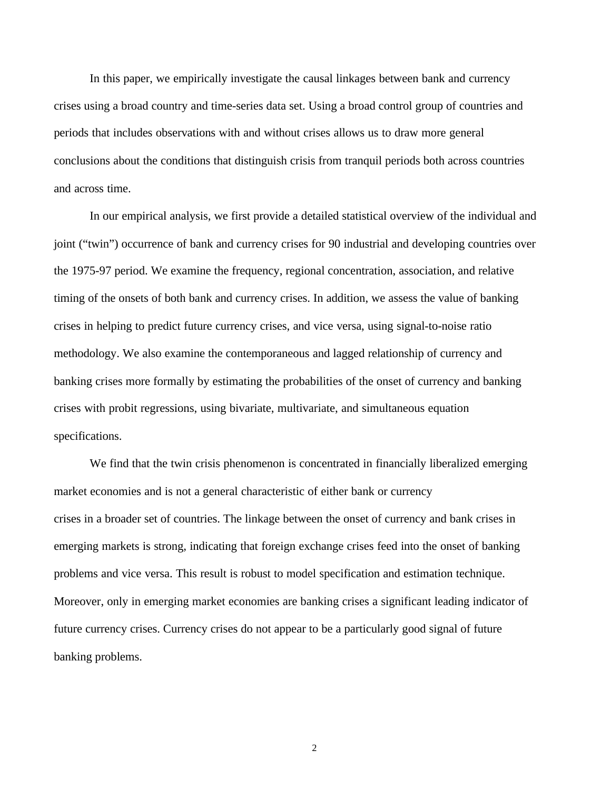In this paper, we empirically investigate the causal linkages between bank and currency crises using a broad country and time-series data set. Using a broad control group of countries and periods that includes observations with and without crises allows us to draw more general conclusions about the conditions that distinguish crisis from tranquil periods both across countries and across time.

In our empirical analysis, we first provide a detailed statistical overview of the individual and joint ("twin") occurrence of bank and currency crises for 90 industrial and developing countries over the 1975-97 period. We examine the frequency, regional concentration, association, and relative timing of the onsets of both bank and currency crises. In addition, we assess the value of banking crises in helping to predict future currency crises, and vice versa, using signal-to-noise ratio methodology. We also examine the contemporaneous and lagged relationship of currency and banking crises more formally by estimating the probabilities of the onset of currency and banking crises with probit regressions, using bivariate, multivariate, and simultaneous equation specifications.

We find that the twin crisis phenomenon is concentrated in financially liberalized emerging market economies and is not a general characteristic of either bank or currency crises in a broader set of countries. The linkage between the onset of currency and bank crises in emerging markets is strong, indicating that foreign exchange crises feed into the onset of banking problems and vice versa. This result is robust to model specification and estimation technique. Moreover, only in emerging market economies are banking crises a significant leading indicator of future currency crises. Currency crises do not appear to be a particularly good signal of future banking problems.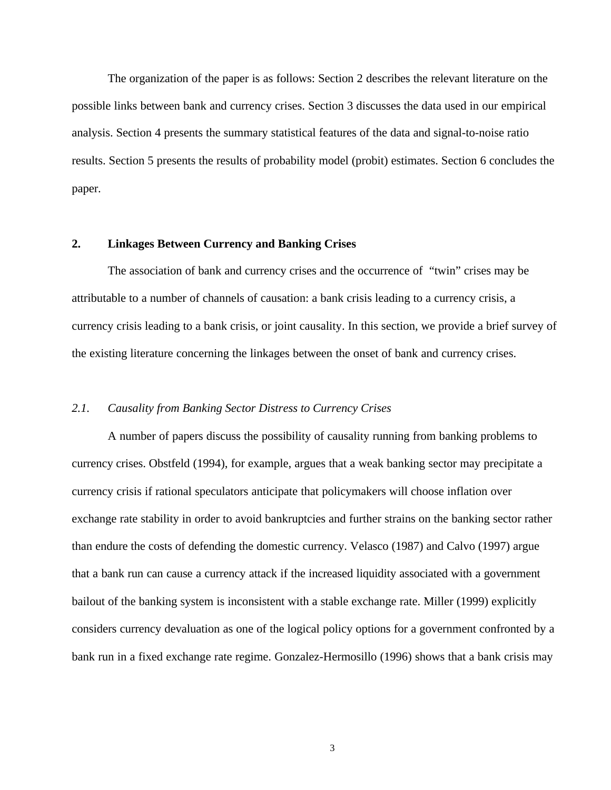The organization of the paper is as follows: Section 2 describes the relevant literature on the possible links between bank and currency crises. Section 3 discusses the data used in our empirical analysis. Section 4 presents the summary statistical features of the data and signal-to-noise ratio results. Section 5 presents the results of probability model (probit) estimates. Section 6 concludes the paper.

#### **2. Linkages Between Currency and Banking Crises**

The association of bank and currency crises and the occurrence of "twin" crises may be attributable to a number of channels of causation: a bank crisis leading to a currency crisis, a currency crisis leading to a bank crisis, or joint causality. In this section, we provide a brief survey of the existing literature concerning the linkages between the onset of bank and currency crises.

#### *2.1. Causality from Banking Sector Distress to Currency Crises*

A number of papers discuss the possibility of causality running from banking problems to currency crises. Obstfeld (1994), for example, argues that a weak banking sector may precipitate a currency crisis if rational speculators anticipate that policymakers will choose inflation over exchange rate stability in order to avoid bankruptcies and further strains on the banking sector rather than endure the costs of defending the domestic currency. Velasco (1987) and Calvo (1997) argue that a bank run can cause a currency attack if the increased liquidity associated with a government bailout of the banking system is inconsistent with a stable exchange rate. Miller (1999) explicitly considers currency devaluation as one of the logical policy options for a government confronted by a bank run in a fixed exchange rate regime. Gonzalez-Hermosillo (1996) shows that a bank crisis may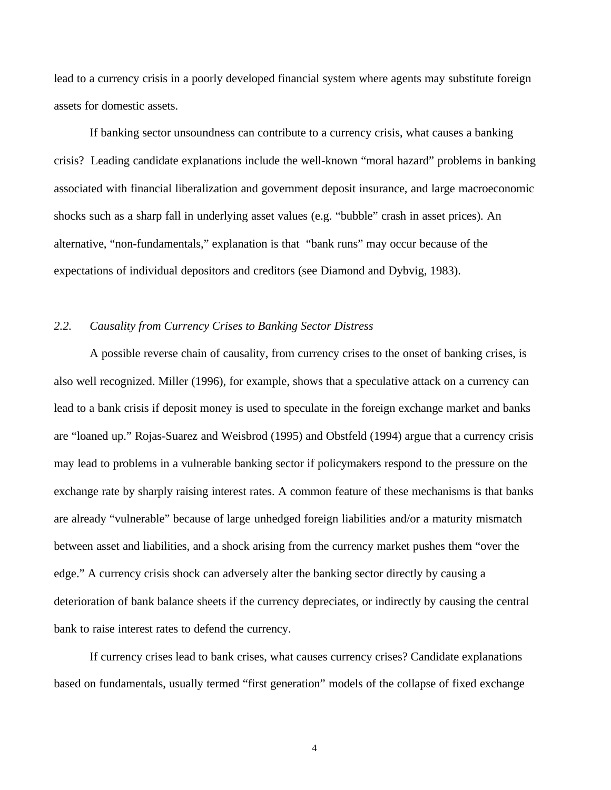lead to a currency crisis in a poorly developed financial system where agents may substitute foreign assets for domestic assets.

If banking sector unsoundness can contribute to a currency crisis, what causes a banking crisis? Leading candidate explanations include the well-known "moral hazard" problems in banking associated with financial liberalization and government deposit insurance, and large macroeconomic shocks such as a sharp fall in underlying asset values (e.g. "bubble" crash in asset prices). An alternative, "non-fundamentals," explanation is that "bank runs" may occur because of the expectations of individual depositors and creditors (see Diamond and Dybvig, 1983).

#### *2.2. Causality from Currency Crises to Banking Sector Distress*

A possible reverse chain of causality, from currency crises to the onset of banking crises, is also well recognized. Miller (1996), for example, shows that a speculative attack on a currency can lead to a bank crisis if deposit money is used to speculate in the foreign exchange market and banks are "loaned up." Rojas-Suarez and Weisbrod (1995) and Obstfeld (1994) argue that a currency crisis may lead to problems in a vulnerable banking sector if policymakers respond to the pressure on the exchange rate by sharply raising interest rates. A common feature of these mechanisms is that banks are already "vulnerable" because of large unhedged foreign liabilities and/or a maturity mismatch between asset and liabilities, and a shock arising from the currency market pushes them "over the edge." A currency crisis shock can adversely alter the banking sector directly by causing a deterioration of bank balance sheets if the currency depreciates, or indirectly by causing the central bank to raise interest rates to defend the currency.

If currency crises lead to bank crises, what causes currency crises? Candidate explanations based on fundamentals, usually termed "first generation" models of the collapse of fixed exchange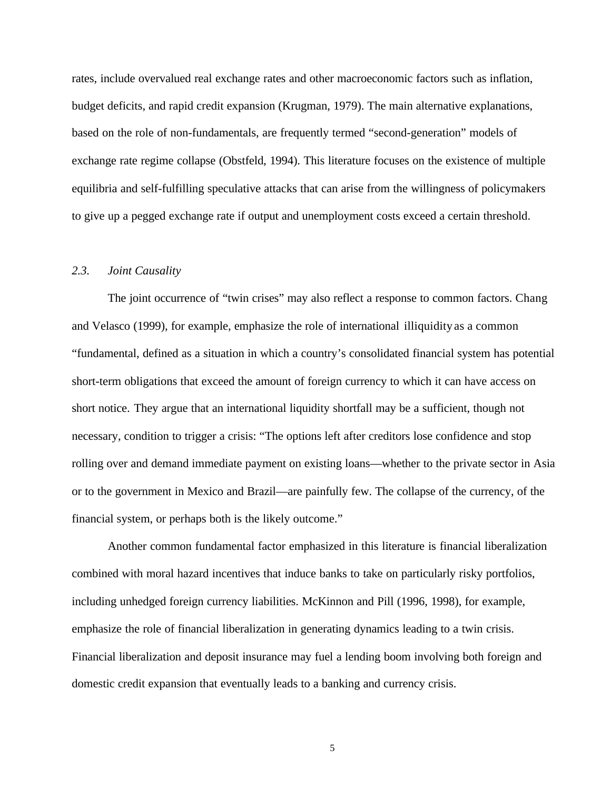rates, include overvalued real exchange rates and other macroeconomic factors such as inflation, budget deficits, and rapid credit expansion (Krugman, 1979). The main alternative explanations, based on the role of non-fundamentals, are frequently termed "second-generation" models of exchange rate regime collapse (Obstfeld, 1994). This literature focuses on the existence of multiple equilibria and self-fulfilling speculative attacks that can arise from the willingness of policymakers to give up a pegged exchange rate if output and unemployment costs exceed a certain threshold.

#### *2.3. Joint Causality*

The joint occurrence of "twin crises" may also reflect a response to common factors. Chang and Velasco (1999), for example, emphasize the role of international illiquidity as a common "fundamental, defined as a situation in which a country's consolidated financial system has potential short-term obligations that exceed the amount of foreign currency to which it can have access on short notice. They argue that an international liquidity shortfall may be a sufficient, though not necessary, condition to trigger a crisis: "The options left after creditors lose confidence and stop rolling over and demand immediate payment on existing loans—whether to the private sector in Asia or to the government in Mexico and Brazil—are painfully few. The collapse of the currency, of the financial system, or perhaps both is the likely outcome."

Another common fundamental factor emphasized in this literature is financial liberalization combined with moral hazard incentives that induce banks to take on particularly risky portfolios, including unhedged foreign currency liabilities. McKinnon and Pill (1996, 1998), for example, emphasize the role of financial liberalization in generating dynamics leading to a twin crisis. Financial liberalization and deposit insurance may fuel a lending boom involving both foreign and domestic credit expansion that eventually leads to a banking and currency crisis.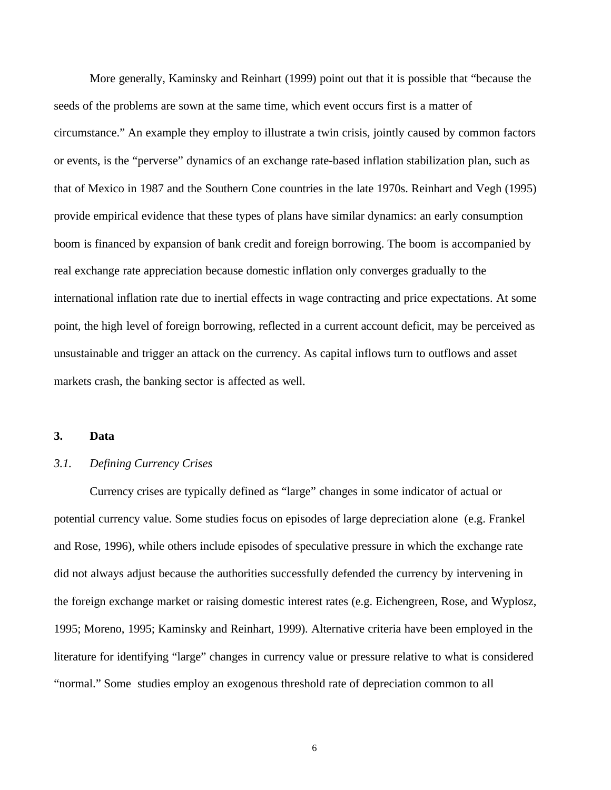More generally, Kaminsky and Reinhart (1999) point out that it is possible that "because the seeds of the problems are sown at the same time, which event occurs first is a matter of circumstance." An example they employ to illustrate a twin crisis, jointly caused by common factors or events, is the "perverse" dynamics of an exchange rate-based inflation stabilization plan, such as that of Mexico in 1987 and the Southern Cone countries in the late 1970s. Reinhart and Vegh (1995) provide empirical evidence that these types of plans have similar dynamics: an early consumption boom is financed by expansion of bank credit and foreign borrowing. The boom is accompanied by real exchange rate appreciation because domestic inflation only converges gradually to the international inflation rate due to inertial effects in wage contracting and price expectations. At some point, the high level of foreign borrowing, reflected in a current account deficit, may be perceived as unsustainable and trigger an attack on the currency. As capital inflows turn to outflows and asset markets crash, the banking sector is affected as well.

#### **3. Data**

#### *3.1. Defining Currency Crises*

Currency crises are typically defined as "large" changes in some indicator of actual or potential currency value. Some studies focus on episodes of large depreciation alone (e.g. Frankel and Rose, 1996), while others include episodes of speculative pressure in which the exchange rate did not always adjust because the authorities successfully defended the currency by intervening in the foreign exchange market or raising domestic interest rates (e.g. Eichengreen, Rose, and Wyplosz, 1995; Moreno, 1995; Kaminsky and Reinhart, 1999). Alternative criteria have been employed in the literature for identifying "large" changes in currency value or pressure relative to what is considered "normal." Some studies employ an exogenous threshold rate of depreciation common to all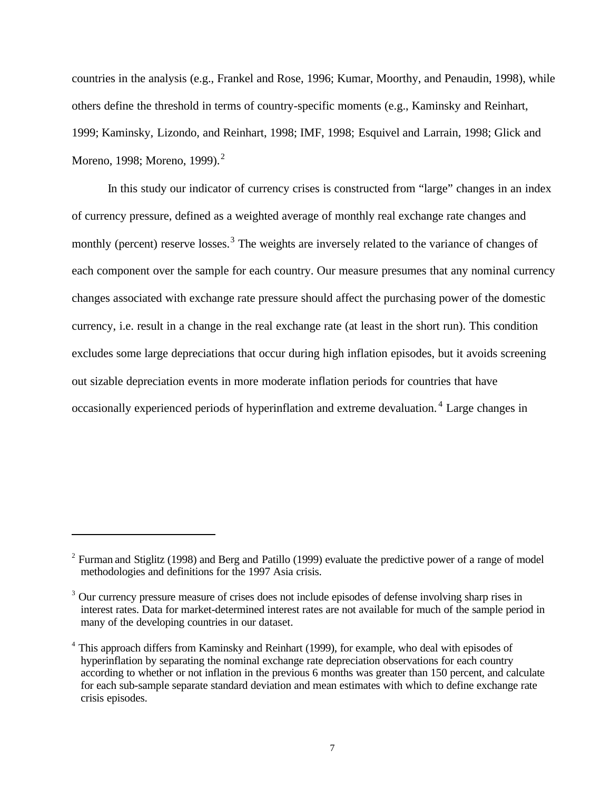countries in the analysis (e.g., Frankel and Rose, 1996; Kumar, Moorthy, and Penaudin, 1998), while others define the threshold in terms of country-specific moments (e.g., Kaminsky and Reinhart, 1999; Kaminsky, Lizondo, and Reinhart, 1998; IMF, 1998; Esquivel and Larrain, 1998; Glick and Moreno, 1998; Moreno, 1999).<sup>2</sup>

In this study our indicator of currency crises is constructed from "large" changes in an index of currency pressure, defined as a weighted average of monthly real exchange rate changes and monthly (percent) reserve losses.<sup>3</sup> The weights are inversely related to the variance of changes of each component over the sample for each country. Our measure presumes that any nominal currency changes associated with exchange rate pressure should affect the purchasing power of the domestic currency, i.e. result in a change in the real exchange rate (at least in the short run). This condition excludes some large depreciations that occur during high inflation episodes, but it avoids screening out sizable depreciation events in more moderate inflation periods for countries that have occasionally experienced periods of hyperinflation and extreme devaluation.<sup>4</sup> Large changes in

 $\overline{a}$ 

<sup>&</sup>lt;sup>2</sup> Furman and Stiglitz (1998) and Berg and Patillo (1999) evaluate the predictive power of a range of model methodologies and definitions for the 1997 Asia crisis.

<sup>&</sup>lt;sup>3</sup> Our currency pressure measure of crises does not include episodes of defense involving sharp rises in interest rates. Data for market-determined interest rates are not available for much of the sample period in many of the developing countries in our dataset.

<sup>&</sup>lt;sup>4</sup> This approach differs from Kaminsky and Reinhart (1999), for example, who deal with episodes of hyperinflation by separating the nominal exchange rate depreciation observations for each country according to whether or not inflation in the previous 6 months was greater than 150 percent, and calculate for each sub-sample separate standard deviation and mean estimates with which to define exchange rate crisis episodes.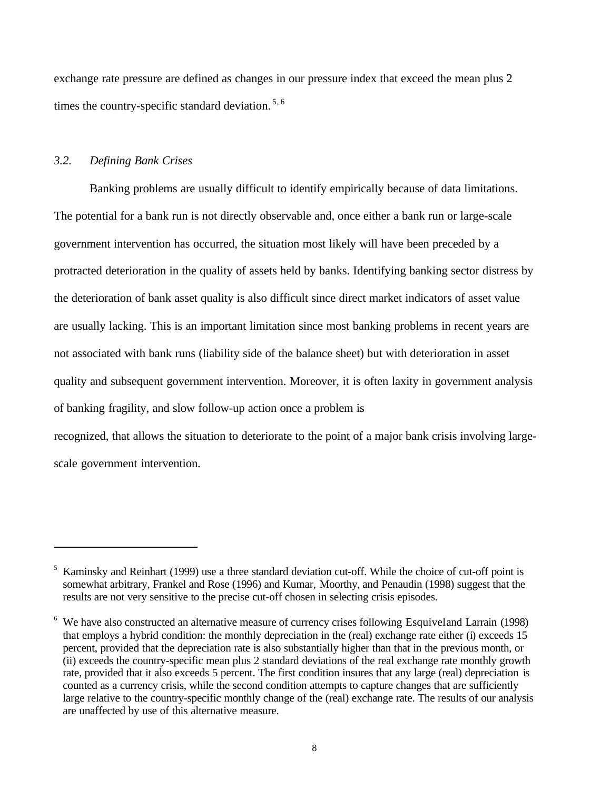exchange rate pressure are defined as changes in our pressure index that exceed the mean plus 2 times the country-specific standard deviation.  $5,6$ 

#### *3.2. Defining Bank Crises*

Banking problems are usually difficult to identify empirically because of data limitations. The potential for a bank run is not directly observable and, once either a bank run or large-scale government intervention has occurred, the situation most likely will have been preceded by a protracted deterioration in the quality of assets held by banks. Identifying banking sector distress by the deterioration of bank asset quality is also difficult since direct market indicators of asset value are usually lacking. This is an important limitation since most banking problems in recent years are not associated with bank runs (liability side of the balance sheet) but with deterioration in asset quality and subsequent government intervention. Moreover, it is often laxity in government analysis of banking fragility, and slow follow-up action once a problem is recognized, that allows the situation to deteriorate to the point of a major bank crisis involving large-

scale government intervention.

 $\overline{a}$ 

<sup>5</sup> Kaminsky and Reinhart (1999) use a three standard deviation cut-off. While the choice of cut-off point is somewhat arbitrary, Frankel and Rose (1996) and Kumar, Moorthy, and Penaudin (1998) suggest that the results are not very sensitive to the precise cut-off chosen in selecting crisis episodes.

<sup>&</sup>lt;sup>6</sup> We have also constructed an alternative measure of currency crises following Esquivel and Larrain (1998) that employs a hybrid condition: the monthly depreciation in the (real) exchange rate either (i) exceeds 15 percent, provided that the depreciation rate is also substantially higher than that in the previous month, or (ii) exceeds the country-specific mean plus 2 standard deviations of the real exchange rate monthly growth rate, provided that it also exceeds 5 percent. The first condition insures that any large (real) depreciation is counted as a currency crisis, while the second condition attempts to capture changes that are sufficiently large relative to the country-specific monthly change of the (real) exchange rate. The results of our analysis are unaffected by use of this alternative measure.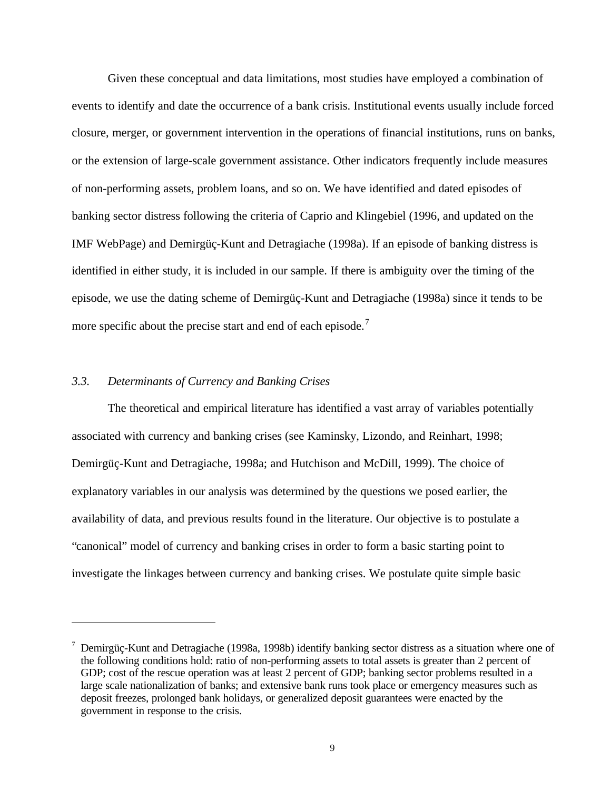Given these conceptual and data limitations, most studies have employed a combination of events to identify and date the occurrence of a bank crisis. Institutional events usually include forced closure, merger, or government intervention in the operations of financial institutions, runs on banks, or the extension of large-scale government assistance. Other indicators frequently include measures of non-performing assets, problem loans, and so on. We have identified and dated episodes of banking sector distress following the criteria of Caprio and Klingebiel (1996, and updated on the IMF WebPage) and Demirgüç-Kunt and Detragiache (1998a). If an episode of banking distress is identified in either study, it is included in our sample. If there is ambiguity over the timing of the episode, we use the dating scheme of Demirgüç-Kunt and Detragiache (1998a) since it tends to be more specific about the precise start and end of each episode.<sup>7</sup>

#### *3.3. Determinants of Currency and Banking Crises*

 $\overline{a}$ 

The theoretical and empirical literature has identified a vast array of variables potentially associated with currency and banking crises (see Kaminsky, Lizondo, and Reinhart, 1998; Demirgüç-Kunt and Detragiache, 1998a; and Hutchison and McDill, 1999). The choice of explanatory variables in our analysis was determined by the questions we posed earlier, the availability of data, and previous results found in the literature. Our objective is to postulate a "canonical" model of currency and banking crises in order to form a basic starting point to investigate the linkages between currency and banking crises. We postulate quite simple basic

<sup>&</sup>lt;sup>7</sup> Demirgüç-Kunt and Detragiache (1998a, 1998b) identify banking sector distress as a situation where one of the following conditions hold: ratio of non-performing assets to total assets is greater than 2 percent of GDP; cost of the rescue operation was at least 2 percent of GDP; banking sector problems resulted in a large scale nationalization of banks; and extensive bank runs took place or emergency measures such as deposit freezes, prolonged bank holidays, or generalized deposit guarantees were enacted by the government in response to the crisis.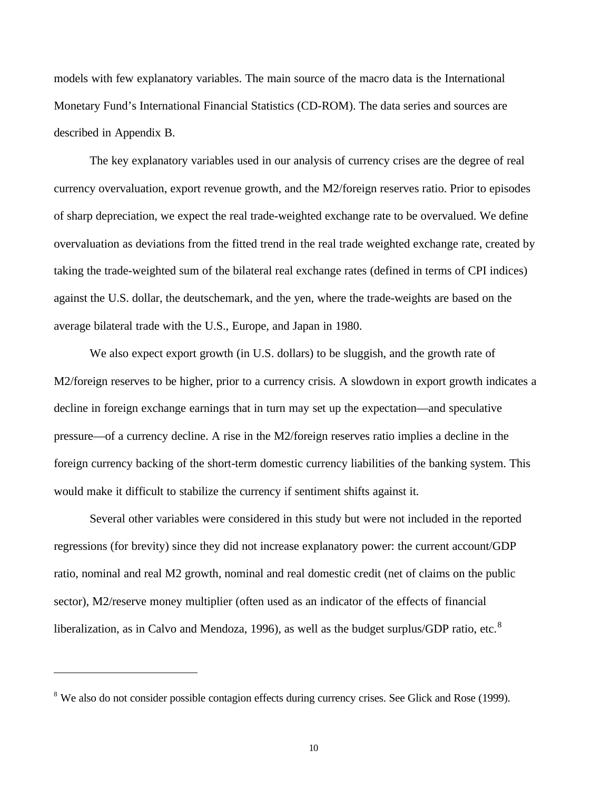models with few explanatory variables. The main source of the macro data is the International Monetary Fund's International Financial Statistics (CD-ROM). The data series and sources are described in Appendix B.

The key explanatory variables used in our analysis of currency crises are the degree of real currency overvaluation, export revenue growth, and the M2/foreign reserves ratio. Prior to episodes of sharp depreciation, we expect the real trade-weighted exchange rate to be overvalued. We define overvaluation as deviations from the fitted trend in the real trade weighted exchange rate, created by taking the trade-weighted sum of the bilateral real exchange rates (defined in terms of CPI indices) against the U.S. dollar, the deutschemark, and the yen, where the trade-weights are based on the average bilateral trade with the U.S., Europe, and Japan in 1980.

We also expect export growth (in U.S. dollars) to be sluggish, and the growth rate of M2/foreign reserves to be higher, prior to a currency crisis. A slowdown in export growth indicates a decline in foreign exchange earnings that in turn may set up the expectation—and speculative pressure—of a currency decline. A rise in the M2/foreign reserves ratio implies a decline in the foreign currency backing of the short-term domestic currency liabilities of the banking system. This would make it difficult to stabilize the currency if sentiment shifts against it.

Several other variables were considered in this study but were not included in the reported regressions (for brevity) since they did not increase explanatory power: the current account/GDP ratio, nominal and real M2 growth, nominal and real domestic credit (net of claims on the public sector), M2/reserve money multiplier (often used as an indicator of the effects of financial liberalization, as in Calvo and Mendoza, 1996), as well as the budget surplus/GDP ratio, etc.<sup>8</sup>

 $\overline{a}$ 

<sup>&</sup>lt;sup>8</sup> We also do not consider possible contagion effects during currency crises. See Glick and Rose (1999).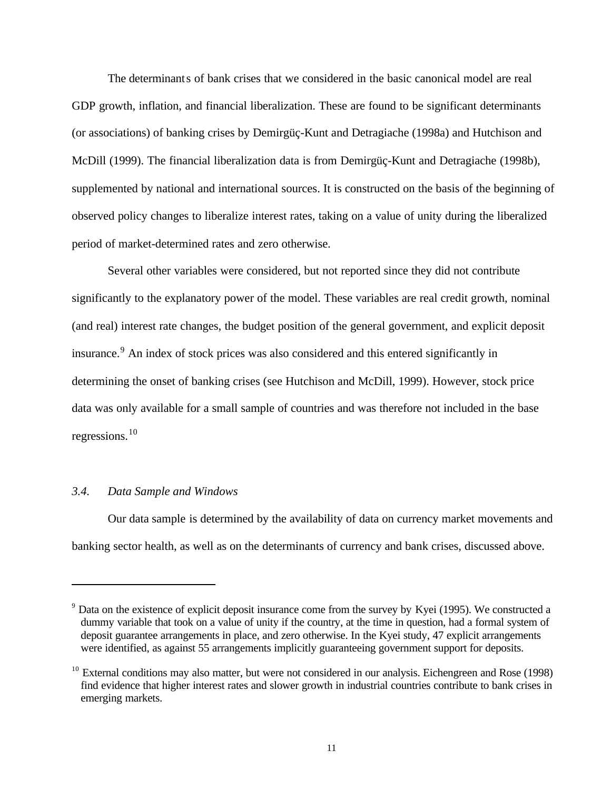The determinants of bank crises that we considered in the basic canonical model are real GDP growth, inflation, and financial liberalization. These are found to be significant determinants (or associations) of banking crises by Demirgüç-Kunt and Detragiache (1998a) and Hutchison and McDill (1999). The financial liberalization data is from Demirgüç-Kunt and Detragiache (1998b), supplemented by national and international sources. It is constructed on the basis of the beginning of observed policy changes to liberalize interest rates, taking on a value of unity during the liberalized period of market-determined rates and zero otherwise.

Several other variables were considered, but not reported since they did not contribute significantly to the explanatory power of the model. These variables are real credit growth, nominal (and real) interest rate changes, the budget position of the general government, and explicit deposit insurance.<sup>9</sup> An index of stock prices was also considered and this entered significantly in determining the onset of banking crises (see Hutchison and McDill, 1999). However, stock price data was only available for a small sample of countries and was therefore not included in the base regressions.<sup>10</sup>

#### *3.4. Data Sample and Windows*

 $\overline{a}$ 

Our data sample is determined by the availability of data on currency market movements and banking sector health, as well as on the determinants of currency and bank crises, discussed above.

<sup>&</sup>lt;sup>9</sup> Data on the existence of explicit deposit insurance come from the survey by Kyei (1995). We constructed a dummy variable that took on a value of unity if the country, at the time in question, had a formal system of deposit guarantee arrangements in place, and zero otherwise. In the Kyei study, 47 explicit arrangements were identified, as against 55 arrangements implicitly guaranteeing government support for deposits.

 $10$  External conditions may also matter, but were not considered in our analysis. Eichengreen and Rose (1998) find evidence that higher interest rates and slower growth in industrial countries contribute to bank crises in emerging markets.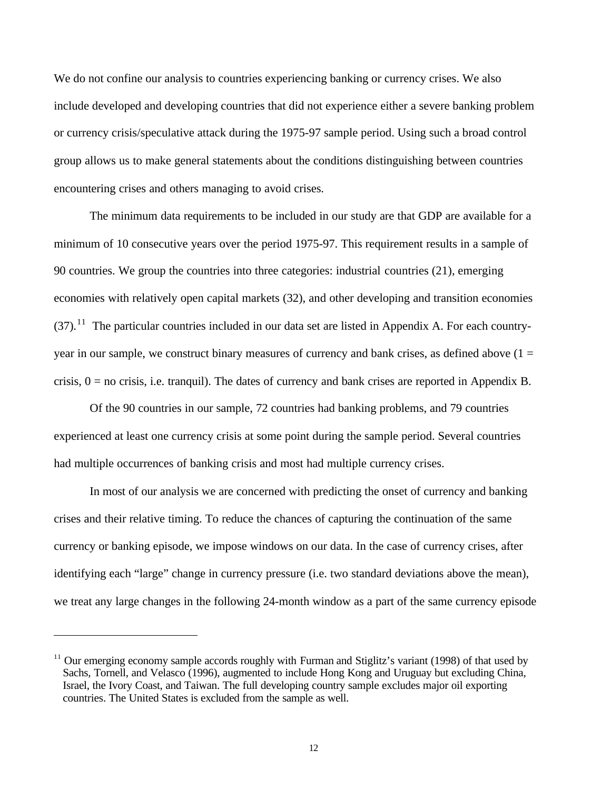We do not confine our analysis to countries experiencing banking or currency crises. We also include developed and developing countries that did not experience either a severe banking problem or currency crisis/speculative attack during the 1975-97 sample period. Using such a broad control group allows us to make general statements about the conditions distinguishing between countries encountering crises and others managing to avoid crises.

The minimum data requirements to be included in our study are that GDP are available for a minimum of 10 consecutive years over the period 1975-97. This requirement results in a sample of 90 countries. We group the countries into three categories: industrial countries (21), emerging economies with relatively open capital markets (32), and other developing and transition economies  $(37)$ .<sup>11</sup> The particular countries included in our data set are listed in Appendix A. For each countryyear in our sample, we construct binary measures of currency and bank crises, as defined above  $(1 =$ crisis,  $0 =$  no crisis, i.e. tranquil). The dates of currency and bank crises are reported in Appendix B.

Of the 90 countries in our sample, 72 countries had banking problems, and 79 countries experienced at least one currency crisis at some point during the sample period. Several countries had multiple occurrences of banking crisis and most had multiple currency crises.

In most of our analysis we are concerned with predicting the onset of currency and banking crises and their relative timing. To reduce the chances of capturing the continuation of the same currency or banking episode, we impose windows on our data. In the case of currency crises, after identifying each "large" change in currency pressure (i.e. two standard deviations above the mean), we treat any large changes in the following 24-month window as a part of the same currency episode

 $\overline{a}$ 

<sup>&</sup>lt;sup>11</sup> Our emerging economy sample accords roughly with Furman and Stiglitz's variant (1998) of that used by Sachs, Tornell, and Velasco (1996), augmented to include Hong Kong and Uruguay but excluding China, Israel, the Ivory Coast, and Taiwan. The full developing country sample excludes major oil exporting countries. The United States is excluded from the sample as well.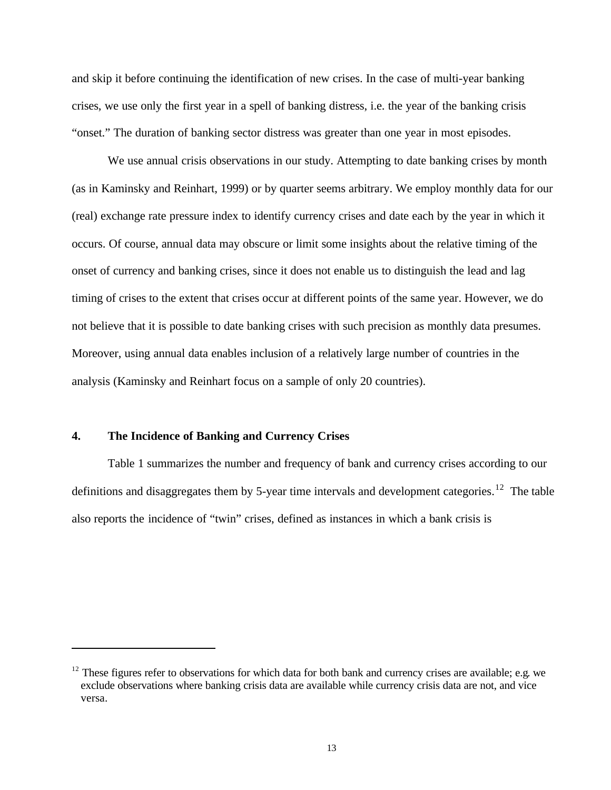and skip it before continuing the identification of new crises. In the case of multi-year banking crises, we use only the first year in a spell of banking distress, i.e. the year of the banking crisis "onset." The duration of banking sector distress was greater than one year in most episodes.

We use annual crisis observations in our study. Attempting to date banking crises by month (as in Kaminsky and Reinhart, 1999) or by quarter seems arbitrary. We employ monthly data for our (real) exchange rate pressure index to identify currency crises and date each by the year in which it occurs. Of course, annual data may obscure or limit some insights about the relative timing of the onset of currency and banking crises, since it does not enable us to distinguish the lead and lag timing of crises to the extent that crises occur at different points of the same year. However, we do not believe that it is possible to date banking crises with such precision as monthly data presumes. Moreover, using annual data enables inclusion of a relatively large number of countries in the analysis (Kaminsky and Reinhart focus on a sample of only 20 countries).

#### **4. The Incidence of Banking and Currency Crises**

 $\overline{a}$ 

Table 1 summarizes the number and frequency of bank and currency crises according to our definitions and disaggregates them by 5-year time intervals and development categories.<sup>12</sup> The table also reports the incidence of "twin" crises, defined as instances in which a bank crisis is

 $12$  These figures refer to observations for which data for both bank and currency crises are available; e.g. we exclude observations where banking crisis data are available while currency crisis data are not, and vice versa.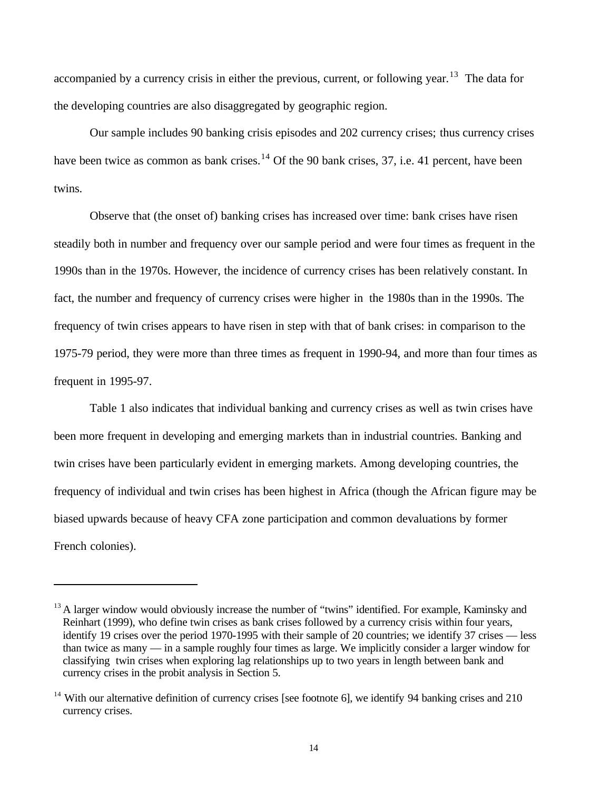accompanied by a currency crisis in either the previous, current, or following year.<sup>13</sup> The data for the developing countries are also disaggregated by geographic region.

Our sample includes 90 banking crisis episodes and 202 currency crises; thus currency crises have been twice as common as bank crises.<sup>14</sup> Of the 90 bank crises, 37, i.e. 41 percent, have been twins.

Observe that (the onset of) banking crises has increased over time: bank crises have risen steadily both in number and frequency over our sample period and were four times as frequent in the 1990s than in the 1970s. However, the incidence of currency crises has been relatively constant. In fact, the number and frequency of currency crises were higher in the 1980s than in the 1990s. The frequency of twin crises appears to have risen in step with that of bank crises: in comparison to the 1975-79 period, they were more than three times as frequent in 1990-94, and more than four times as frequent in 1995-97.

Table 1 also indicates that individual banking and currency crises as well as twin crises have been more frequent in developing and emerging markets than in industrial countries. Banking and twin crises have been particularly evident in emerging markets. Among developing countries, the frequency of individual and twin crises has been highest in Africa (though the African figure may be biased upwards because of heavy CFA zone participation and common devaluations by former French colonies).

 $\overline{a}$ 

 $13$  A larger window would obviously increase the number of "twins" identified. For example, Kaminsky and Reinhart (1999), who define twin crises as bank crises followed by a currency crisis within four years, identify 19 crises over the period 1970-1995 with their sample of 20 countries; we identify 37 crises — less than twice as many — in a sample roughly four times as large. We implicitly consider a larger window for classifying twin crises when exploring lag relationships up to two years in length between bank and currency crises in the probit analysis in Section 5.

<sup>&</sup>lt;sup>14</sup> With our alternative definition of currency crises [see footnote 6], we identify 94 banking crises and 210 currency crises.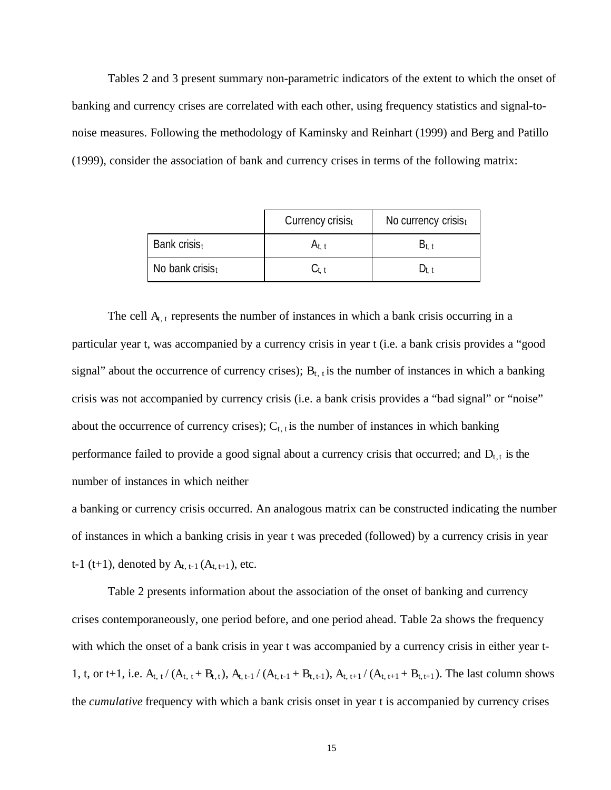Tables 2 and 3 present summary non-parametric indicators of the extent to which the onset of banking and currency crises are correlated with each other, using frequency statistics and signal-tonoise measures. Following the methodology of Kaminsky and Reinhart (1999) and Berg and Patillo (1999), consider the association of bank and currency crises in terms of the following matrix:

|                    | Currency crisis $t$ | No currency crisis $t$ |
|--------------------|---------------------|------------------------|
| Bank crisis $t$    | At. t               |                        |
| No bank crisis $t$ |                     |                        |

The cell  $A_{t, t}$  represents the number of instances in which a bank crisis occurring in a particular year t, was accompanied by a currency crisis in year t (i.e. a bank crisis provides a "good signal" about the occurrence of currency crises);  $B_{t, t}$  is the number of instances in which a banking crisis was not accompanied by currency crisis (i.e. a bank crisis provides a "bad signal" or "noise" about the occurrence of currency crises);  $C_{t, t}$  is the number of instances in which banking performance failed to provide a good signal about a currency crisis that occurred; and  $D_{t,t}$  is the number of instances in which neither

a banking or currency crisis occurred. An analogous matrix can be constructed indicating the number of instances in which a banking crisis in year t was preceded (followed) by a currency crisis in year t-1 (t+1), denoted by  $A_{t, t-1} (A_{t, t+1})$ , etc.

Table 2 presents information about the association of the onset of banking and currency crises contemporaneously, one period before, and one period ahead. Table 2a shows the frequency with which the onset of a bank crisis in year t was accompanied by a currency crisis in either year t-1, t, or t+1, i.e.  $A_{t, t}/(A_{t, t} + B_{t, t})$ ,  $A_{t, t-1}/(A_{t, t-1} + B_{t, t-1})$ ,  $A_{t, t+1}/(A_{t, t+1} + B_{t, t+1})$ . The last column shows the *cumulative* frequency with which a bank crisis onset in year t is accompanied by currency crises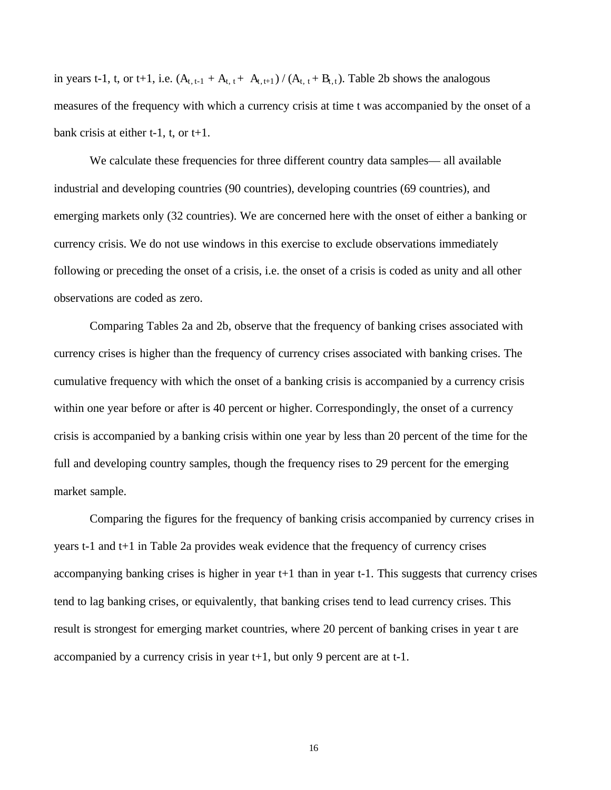in years t-1, t, or t+1, i.e.  $(A_{t, t-1} + A_{t, t} + A_{t, t+1}) / (A_{t, t} + B_{t, t})$ . Table 2b shows the analogous measures of the frequency with which a currency crisis at time t was accompanied by the onset of a bank crisis at either  $t-1$ ,  $t$ , or  $t+1$ .

We calculate these frequencies for three different country data samples— all available industrial and developing countries (90 countries), developing countries (69 countries), and emerging markets only (32 countries). We are concerned here with the onset of either a banking or currency crisis. We do not use windows in this exercise to exclude observations immediately following or preceding the onset of a crisis, i.e. the onset of a crisis is coded as unity and all other observations are coded as zero.

Comparing Tables 2a and 2b, observe that the frequency of banking crises associated with currency crises is higher than the frequency of currency crises associated with banking crises. The cumulative frequency with which the onset of a banking crisis is accompanied by a currency crisis within one year before or after is 40 percent or higher. Correspondingly, the onset of a currency crisis is accompanied by a banking crisis within one year by less than 20 percent of the time for the full and developing country samples, though the frequency rises to 29 percent for the emerging market sample.

Comparing the figures for the frequency of banking crisis accompanied by currency crises in years t-1 and t+1 in Table 2a provides weak evidence that the frequency of currency crises accompanying banking crises is higher in year t+1 than in year t-1. This suggests that currency crises tend to lag banking crises, or equivalently, that banking crises tend to lead currency crises. This result is strongest for emerging market countries, where 20 percent of banking crises in year t are accompanied by a currency crisis in year t+1, but only 9 percent are at t-1.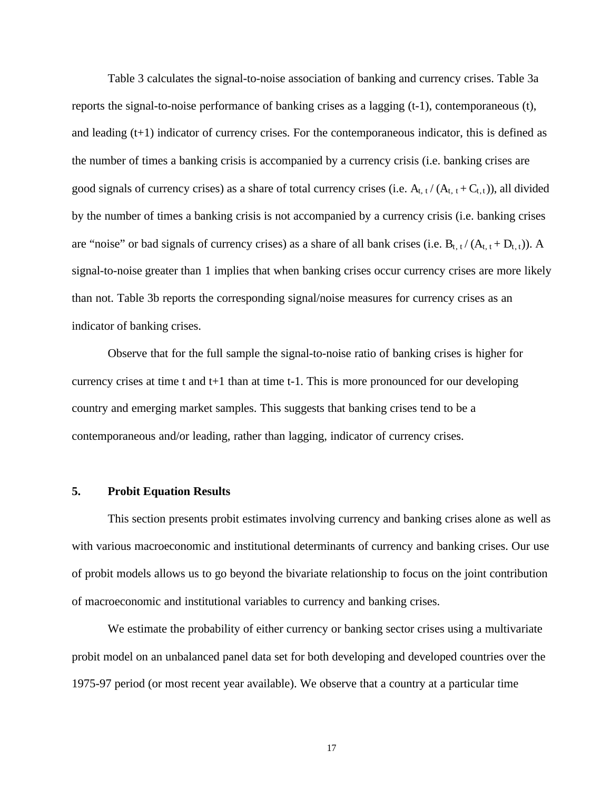Table 3 calculates the signal-to-noise association of banking and currency crises. Table 3a reports the signal-to-noise performance of banking crises as a lagging (t-1), contemporaneous (t), and leading (t+1) indicator of currency crises. For the contemporaneous indicator, this is defined as the number of times a banking crisis is accompanied by a currency crisis (i.e. banking crises are good signals of currency crises) as a share of total currency crises (i.e.  $A_{t, t} / (A_{t, t} + C_{t, t})$ ), all divided by the number of times a banking crisis is not accompanied by a currency crisis (i.e. banking crises are "noise" or bad signals of currency crises) as a share of all bank crises (i.e.  $B_{t, t} / (A_{t, t} + D_{t, t})$ ). A signal-to-noise greater than 1 implies that when banking crises occur currency crises are more likely than not. Table 3b reports the corresponding signal/noise measures for currency crises as an indicator of banking crises.

Observe that for the full sample the signal-to-noise ratio of banking crises is higher for currency crises at time t and t+1 than at time t-1. This is more pronounced for our developing country and emerging market samples. This suggests that banking crises tend to be a contemporaneous and/or leading, rather than lagging, indicator of currency crises.

#### **5. Probit Equation Results**

This section presents probit estimates involving currency and banking crises alone as well as with various macroeconomic and institutional determinants of currency and banking crises. Our use of probit models allows us to go beyond the bivariate relationship to focus on the joint contribution of macroeconomic and institutional variables to currency and banking crises.

We estimate the probability of either currency or banking sector crises using a multivariate probit model on an unbalanced panel data set for both developing and developed countries over the 1975-97 period (or most recent year available). We observe that a country at a particular time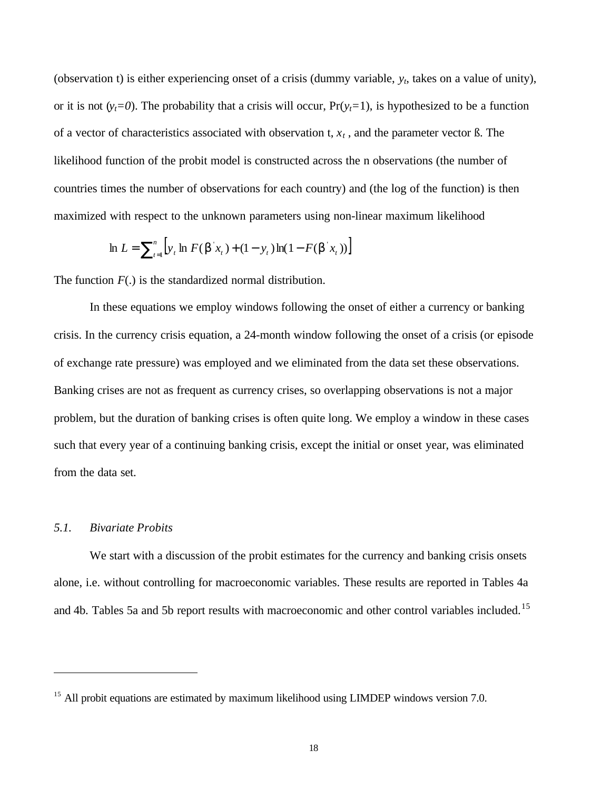(observation t) is either experiencing onset of a crisis (dummy variable, *yt*, takes on a value of unity), or it is not  $(y_t=0)$ . The probability that a crisis will occur,  $Pr(y_t=1)$ , is hypothesized to be a function of a vector of characteristics associated with observation t,  $x_t$ , and the parameter vector  $\beta$ . The likelihood function of the probit model is constructed across the n observations (the number of countries times the number of observations for each country) and (the log of the function) is then maximized with respect to the unknown parameters using non-linear maximum likelihood

$$
\ln L = \sum_{t=1}^{n} \left[ y_t \ln F(\mathbf{b} | x_t) + (1 - y_t) \ln(1 - F(\mathbf{b} | x_t)) \right]
$$

The function *F*(.) is the standardized normal distribution.

In these equations we employ windows following the onset of either a currency or banking crisis. In the currency crisis equation, a 24-month window following the onset of a crisis (or episode of exchange rate pressure) was employed and we eliminated from the data set these observations. Banking crises are not as frequent as currency crises, so overlapping observations is not a major problem, but the duration of banking crises is often quite long. We employ a window in these cases such that every year of a continuing banking crisis, except the initial or onset year, was eliminated from the data set.

#### *5.1. Bivariate Probits*

 $\overline{a}$ 

We start with a discussion of the probit estimates for the currency and banking crisis onsets alone, i.e. without controlling for macroeconomic variables. These results are reported in Tables 4a and 4b. Tables 5a and 5b report results with macroeconomic and other control variables included.<sup>15</sup>

 $15$  All probit equations are estimated by maximum likelihood using LIMDEP windows version 7.0.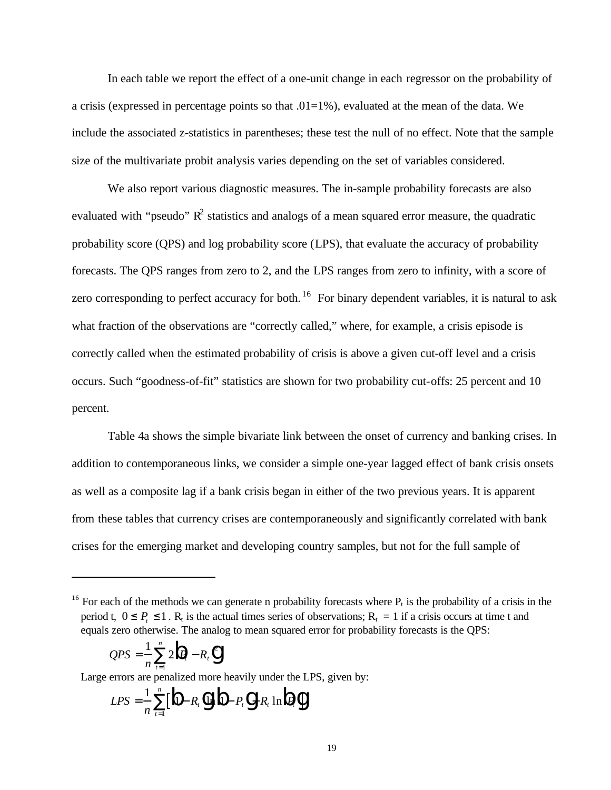In each table we report the effect of a one-unit change in each regressor on the probability of a crisis (expressed in percentage points so that  $.01=1\%$ ), evaluated at the mean of the data. We include the associated z-statistics in parentheses; these test the null of no effect. Note that the sample size of the multivariate probit analysis varies depending on the set of variables considered.

We also report various diagnostic measures. The in-sample probability forecasts are also evaluated with "pseudo"  $R^2$  statistics and analogs of a mean squared error measure, the quadratic probability score (QPS) and log probability score (LPS), that evaluate the accuracy of probability forecasts. The QPS ranges from zero to 2, and the LPS ranges from zero to infinity, with a score of zero corresponding to perfect accuracy for both.<sup>16</sup> For binary dependent variables, it is natural to ask what fraction of the observations are "correctly called," where, for example, a crisis episode is correctly called when the estimated probability of crisis is above a given cut-off level and a crisis occurs. Such "goodness-of-fit" statistics are shown for two probability cut-offs: 25 percent and 10 percent.

Table 4a shows the simple bivariate link between the onset of currency and banking crises. In addition to contemporaneous links, we consider a simple one-year lagged effect of bank crisis onsets as well as a composite lag if a bank crisis began in either of the two previous years. It is apparent from these tables that currency crises are contemporaneously and significantly correlated with bank crises for the emerging market and developing country samples, but not for the full sample of

$$
QPS = \frac{1}{n} \sum_{t=1}^{n} 2 \hat{p}_t - R_t \hat{y}
$$

 $\overline{a}$ 

Large errors are penalized more heavily under the LPS, given by:

$$
LPS = \frac{1}{n} \sum_{t=1}^{n} [\hat{y}_1 - R_t \hat{y}_1 \hat{y}_1 - P_t \hat{y}_t + R_t \ln \hat{y}_t \hat{y}_t]
$$

<sup>&</sup>lt;sup>16</sup> For each of the methods we can generate n probability forecasts where  $P_t$  is the probability of a crisis in the period t,  $0 \le P_t \le 1$ .  $R_t$  is the actual times series of observations;  $R_t = 1$  if a crisis occurs at time t and equals zero otherwise. The analog to mean squared error for probability forecasts is the QPS: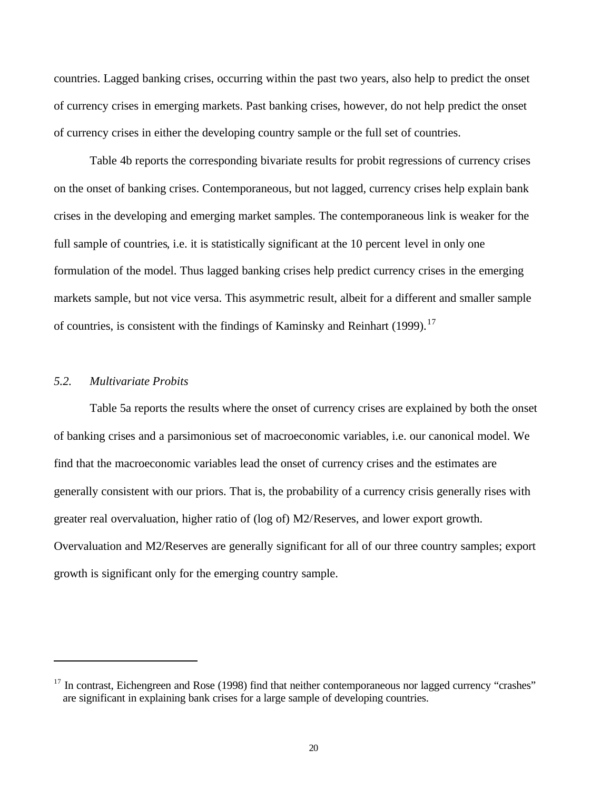countries. Lagged banking crises, occurring within the past two years, also help to predict the onset of currency crises in emerging markets. Past banking crises, however, do not help predict the onset of currency crises in either the developing country sample or the full set of countries.

Table 4b reports the corresponding bivariate results for probit regressions of currency crises on the onset of banking crises. Contemporaneous, but not lagged, currency crises help explain bank crises in the developing and emerging market samples. The contemporaneous link is weaker for the full sample of countries, i.e. it is statistically significant at the 10 percent level in only one formulation of the model. Thus lagged banking crises help predict currency crises in the emerging markets sample, but not vice versa. This asymmetric result, albeit for a different and smaller sample of countries, is consistent with the findings of Kaminsky and Reinhart (1999).<sup>17</sup>

#### *5.2. Multivariate Probits*

 $\overline{a}$ 

Table 5a reports the results where the onset of currency crises are explained by both the onset of banking crises and a parsimonious set of macroeconomic variables, i.e. our canonical model. We find that the macroeconomic variables lead the onset of currency crises and the estimates are generally consistent with our priors. That is, the probability of a currency crisis generally rises with greater real overvaluation, higher ratio of (log of) M2/Reserves, and lower export growth. Overvaluation and M2/Reserves are generally significant for all of our three country samples; export growth is significant only for the emerging country sample.

<sup>&</sup>lt;sup>17</sup> In contrast, Eichengreen and Rose (1998) find that neither contemporaneous nor lagged currency "crashes" are significant in explaining bank crises for a large sample of developing countries.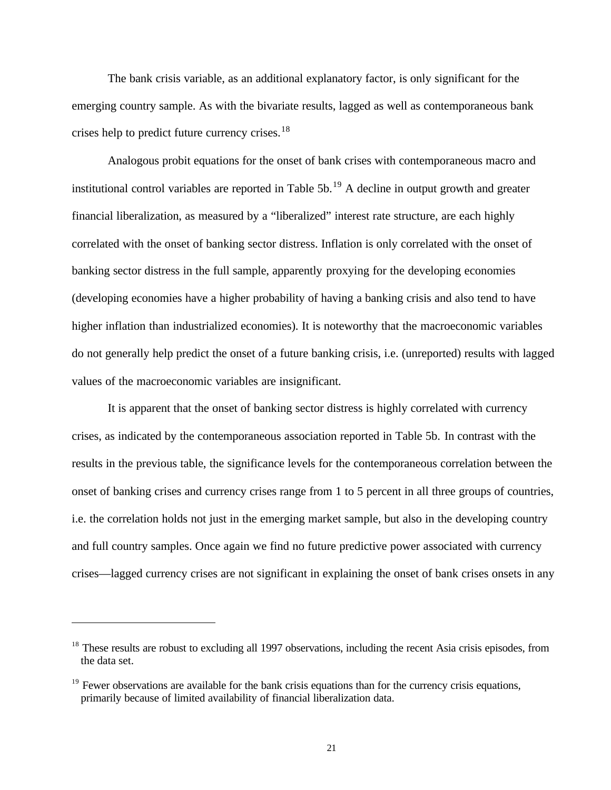The bank crisis variable, as an additional explanatory factor, is only significant for the emerging country sample. As with the bivariate results, lagged as well as contemporaneous bank crises help to predict future currency crises.<sup>18</sup>

Analogous probit equations for the onset of bank crises with contemporaneous macro and institutional control variables are reported in Table  $5b<sup>19</sup>$  A decline in output growth and greater financial liberalization, as measured by a "liberalized" interest rate structure, are each highly correlated with the onset of banking sector distress. Inflation is only correlated with the onset of banking sector distress in the full sample, apparently proxying for the developing economies (developing economies have a higher probability of having a banking crisis and also tend to have higher inflation than industrialized economies). It is noteworthy that the macroeconomic variables do not generally help predict the onset of a future banking crisis, i.e. (unreported) results with lagged values of the macroeconomic variables are insignificant.

It is apparent that the onset of banking sector distress is highly correlated with currency crises, as indicated by the contemporaneous association reported in Table 5b. In contrast with the results in the previous table, the significance levels for the contemporaneous correlation between the onset of banking crises and currency crises range from 1 to 5 percent in all three groups of countries, i.e. the correlation holds not just in the emerging market sample, but also in the developing country and full country samples. Once again we find no future predictive power associated with currency crises—lagged currency crises are not significant in explaining the onset of bank crises onsets in any

 $\overline{a}$ 

 $18$  These results are robust to excluding all 1997 observations, including the recent Asia crisis episodes, from the data set.

 $19$  Fewer observations are available for the bank crisis equations than for the currency crisis equations, primarily because of limited availability of financial liberalization data.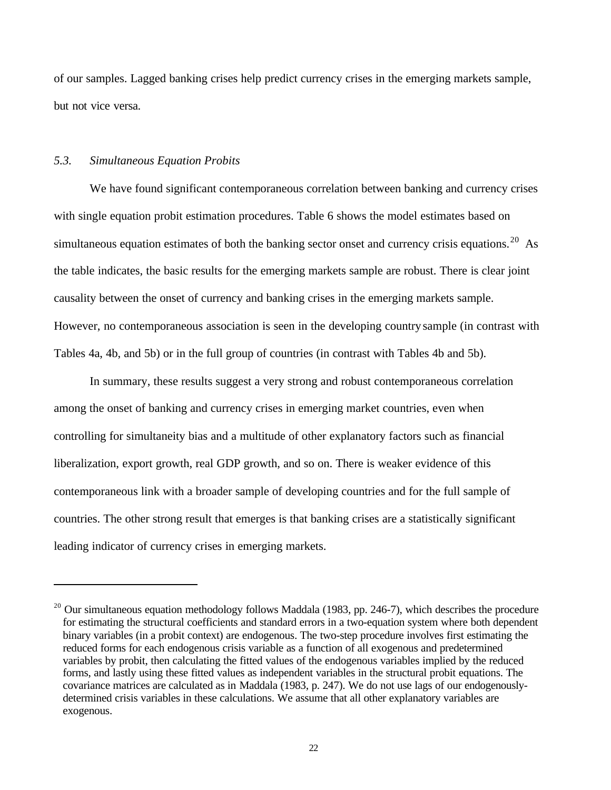of our samples. Lagged banking crises help predict currency crises in the emerging markets sample, but not vice versa.

#### *5.3. Simultaneous Equation Probits*

 $\overline{a}$ 

We have found significant contemporaneous correlation between banking and currency crises with single equation probit estimation procedures. Table 6 shows the model estimates based on simultaneous equation estimates of both the banking sector onset and currency crisis equations.<sup>20</sup> As the table indicates, the basic results for the emerging markets sample are robust. There is clear joint causality between the onset of currency and banking crises in the emerging markets sample. However, no contemporaneous association is seen in the developing countrysample (in contrast with Tables 4a, 4b, and 5b) or in the full group of countries (in contrast with Tables 4b and 5b).

In summary, these results suggest a very strong and robust contemporaneous correlation among the onset of banking and currency crises in emerging market countries, even when controlling for simultaneity bias and a multitude of other explanatory factors such as financial liberalization, export growth, real GDP growth, and so on. There is weaker evidence of this contemporaneous link with a broader sample of developing countries and for the full sample of countries. The other strong result that emerges is that banking crises are a statistically significant leading indicator of currency crises in emerging markets.

<sup>&</sup>lt;sup>20</sup> Our simultaneous equation methodology follows Maddala (1983, pp. 246-7), which describes the procedure for estimating the structural coefficients and standard errors in a two-equation system where both dependent binary variables (in a probit context) are endogenous. The two-step procedure involves first estimating the reduced forms for each endogenous crisis variable as a function of all exogenous and predetermined variables by probit, then calculating the fitted values of the endogenous variables implied by the reduced forms, and lastly using these fitted values as independent variables in the structural probit equations. The covariance matrices are calculated as in Maddala (1983, p. 247). We do not use lags of our endogenouslydetermined crisis variables in these calculations. We assume that all other explanatory variables are exogenous.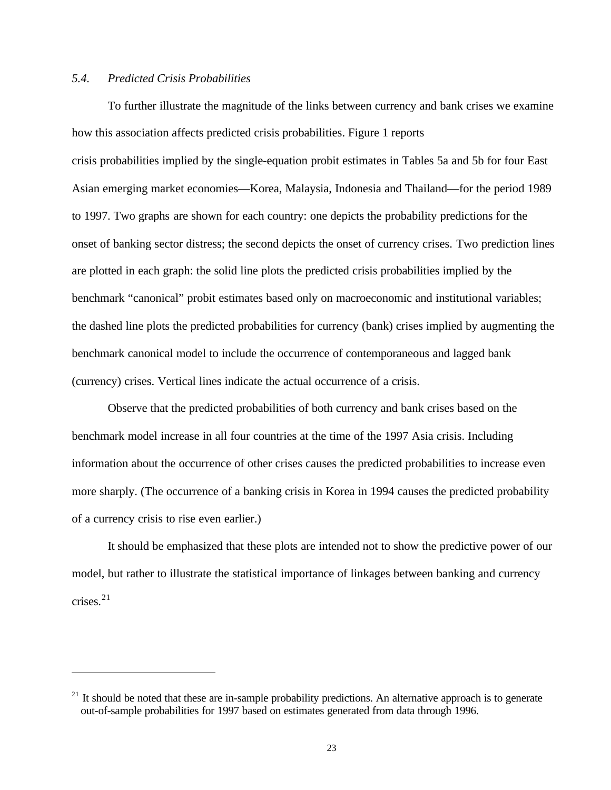#### *5.4. Predicted Crisis Probabilities*

 $\overline{a}$ 

To further illustrate the magnitude of the links between currency and bank crises we examine how this association affects predicted crisis probabilities. Figure 1 reports crisis probabilities implied by the single-equation probit estimates in Tables 5a and 5b for four East Asian emerging market economies—Korea, Malaysia, Indonesia and Thailand—for the period 1989 to 1997. Two graphs are shown for each country: one depicts the probability predictions for the onset of banking sector distress; the second depicts the onset of currency crises. Two prediction lines are plotted in each graph: the solid line plots the predicted crisis probabilities implied by the benchmark "canonical" probit estimates based only on macroeconomic and institutional variables; the dashed line plots the predicted probabilities for currency (bank) crises implied by augmenting the benchmark canonical model to include the occurrence of contemporaneous and lagged bank (currency) crises. Vertical lines indicate the actual occurrence of a crisis.

Observe that the predicted probabilities of both currency and bank crises based on the benchmark model increase in all four countries at the time of the 1997 Asia crisis. Including information about the occurrence of other crises causes the predicted probabilities to increase even more sharply. (The occurrence of a banking crisis in Korea in 1994 causes the predicted probability of a currency crisis to rise even earlier.)

It should be emphasized that these plots are intended not to show the predictive power of our model, but rather to illustrate the statistical importance of linkages between banking and currency  $crises<sup>21</sup>$ 

 $21$  It should be noted that these are in-sample probability predictions. An alternative approach is to generate out-of-sample probabilities for 1997 based on estimates generated from data through 1996.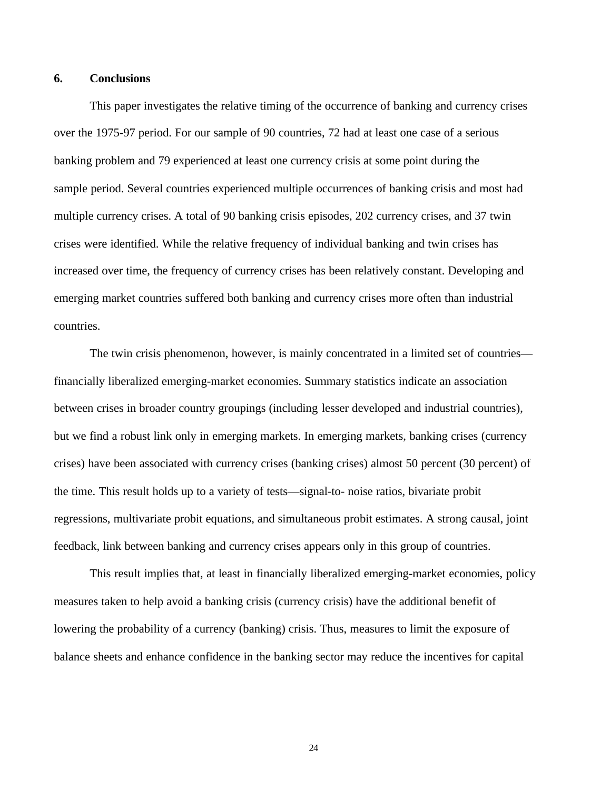#### **6. Conclusions**

This paper investigates the relative timing of the occurrence of banking and currency crises over the 1975-97 period. For our sample of 90 countries, 72 had at least one case of a serious banking problem and 79 experienced at least one currency crisis at some point during the sample period. Several countries experienced multiple occurrences of banking crisis and most had multiple currency crises. A total of 90 banking crisis episodes, 202 currency crises, and 37 twin crises were identified. While the relative frequency of individual banking and twin crises has increased over time, the frequency of currency crises has been relatively constant. Developing and emerging market countries suffered both banking and currency crises more often than industrial countries.

The twin crisis phenomenon, however, is mainly concentrated in a limited set of countries financially liberalized emerging-market economies. Summary statistics indicate an association between crises in broader country groupings (including lesser developed and industrial countries), but we find a robust link only in emerging markets. In emerging markets, banking crises (currency crises) have been associated with currency crises (banking crises) almost 50 percent (30 percent) of the time. This result holds up to a variety of tests—signal-to- noise ratios, bivariate probit regressions, multivariate probit equations, and simultaneous probit estimates. A strong causal, joint feedback, link between banking and currency crises appears only in this group of countries.

This result implies that, at least in financially liberalized emerging-market economies, policy measures taken to help avoid a banking crisis (currency crisis) have the additional benefit of lowering the probability of a currency (banking) crisis. Thus, measures to limit the exposure of balance sheets and enhance confidence in the banking sector may reduce the incentives for capital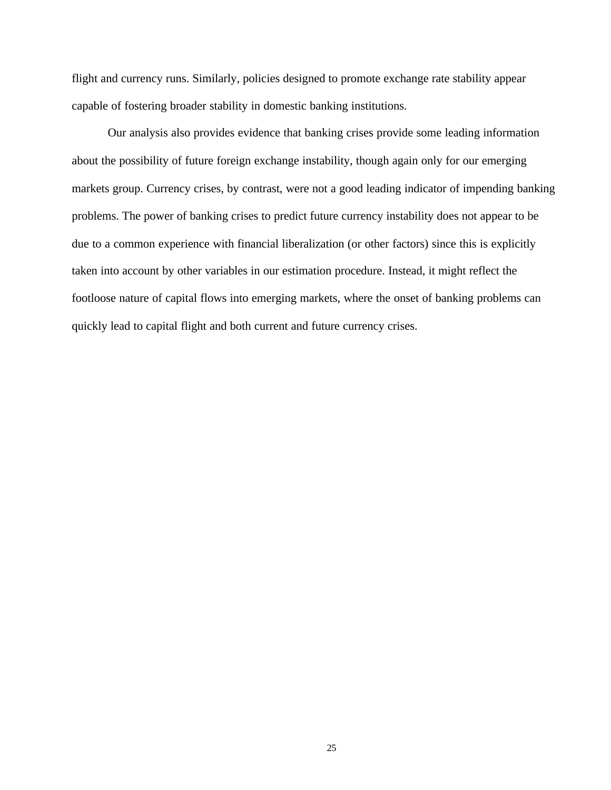flight and currency runs. Similarly, policies designed to promote exchange rate stability appear capable of fostering broader stability in domestic banking institutions.

Our analysis also provides evidence that banking crises provide some leading information about the possibility of future foreign exchange instability, though again only for our emerging markets group. Currency crises, by contrast, were not a good leading indicator of impending banking problems. The power of banking crises to predict future currency instability does not appear to be due to a common experience with financial liberalization (or other factors) since this is explicitly taken into account by other variables in our estimation procedure. Instead, it might reflect the footloose nature of capital flows into emerging markets, where the onset of banking problems can quickly lead to capital flight and both current and future currency crises.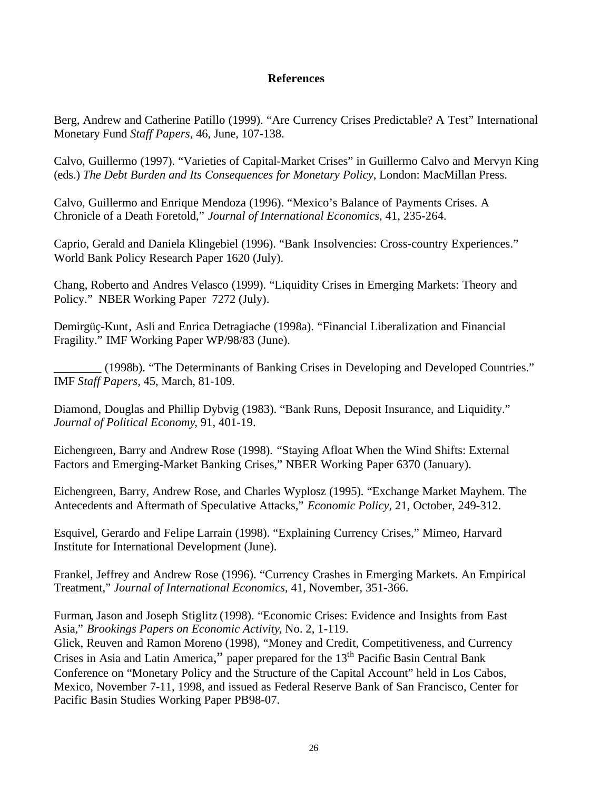#### **References**

Berg, Andrew and Catherine Patillo (1999). "Are Currency Crises Predictable? A Test" International Monetary Fund *Staff Papers*, 46, June, 107-138.

Calvo, Guillermo (1997). "Varieties of Capital-Market Crises" in Guillermo Calvo and Mervyn King (eds.) *The Debt Burden and Its Consequences for Monetary Policy*, London: MacMillan Press.

Calvo, Guillermo and Enrique Mendoza (1996). "Mexico's Balance of Payments Crises. A Chronicle of a Death Foretold," *Journal of International Economics*, 41, 235-264.

Caprio, Gerald and Daniela Klingebiel (1996). "Bank Insolvencies: Cross-country Experiences." World Bank Policy Research Paper 1620 (July).

Chang, Roberto and Andres Velasco (1999). "Liquidity Crises in Emerging Markets: Theory and Policy." NBER Working Paper 7272 (July).

Demirgüç-Kunt, Asli and Enrica Detragiache (1998a). "Financial Liberalization and Financial Fragility." IMF Working Paper WP/98/83 (June).

\_\_\_\_\_\_\_\_ (1998b). "The Determinants of Banking Crises in Developing and Developed Countries." IMF *Staff Papers*, 45, March, 81-109.

Diamond, Douglas and Phillip Dybvig (1983). "Bank Runs, Deposit Insurance, and Liquidity." *Journal of Political Economy*, 91, 401-19.

Eichengreen, Barry and Andrew Rose (1998). "Staying Afloat When the Wind Shifts: External Factors and Emerging-Market Banking Crises," NBER Working Paper 6370 (January).

Eichengreen, Barry, Andrew Rose, and Charles Wyplosz (1995). "Exchange Market Mayhem. The Antecedents and Aftermath of Speculative Attacks," *Economic Policy*, 21, October, 249-312.

Esquivel, Gerardo and Felipe Larrain (1998). "Explaining Currency Crises," Mimeo, Harvard Institute for International Development (June).

Frankel, Jeffrey and Andrew Rose (1996). "Currency Crashes in Emerging Markets. An Empirical Treatment," *Journal of International Economics*, 41, November, 351-366.

Furman, Jason and Joseph Stiglitz (1998). "Economic Crises: Evidence and Insights from East Asia," *Brookings Papers on Economic Activity*, No. 2, 1-119.

Glick, Reuven and Ramon Moreno (1998), "Money and Credit, Competitiveness, and Currency Crises in Asia and Latin America," paper prepared for the 13<sup>th</sup> Pacific Basin Central Bank Conference on "Monetary Policy and the Structure of the Capital Account" held in Los Cabos, Mexico, November 7-11, 1998, and issued as Federal Reserve Bank of San Francisco, Center for Pacific Basin Studies Working Paper PB98-07.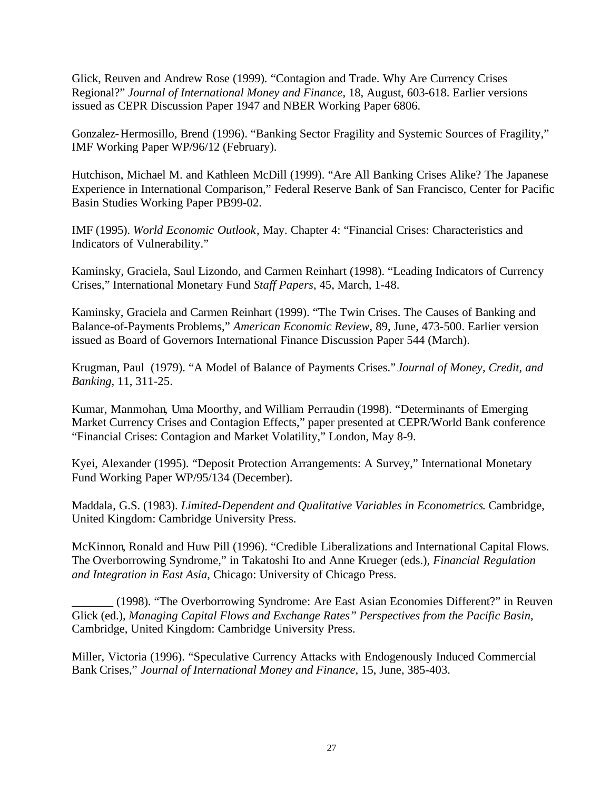Glick, Reuven and Andrew Rose (1999). "Contagion and Trade. Why Are Currency Crises Regional?" *Journal of International Money and Finance*, 18, August, 603-618. Earlier versions issued as CEPR Discussion Paper 1947 and NBER Working Paper 6806.

Gonzalez-Hermosillo, Brend (1996). "Banking Sector Fragility and Systemic Sources of Fragility," IMF Working Paper WP/96/12 (February).

Hutchison, Michael M. and Kathleen McDill (1999). "Are All Banking Crises Alike? The Japanese Experience in International Comparison," Federal Reserve Bank of San Francisco, Center for Pacific Basin Studies Working Paper PB99-02.

IMF (1995). *World Economic Outlook*, May. Chapter 4: "Financial Crises: Characteristics and Indicators of Vulnerability."

Kaminsky, Graciela, Saul Lizondo, and Carmen Reinhart (1998). "Leading Indicators of Currency Crises," International Monetary Fund *Staff Papers*, 45, March, 1-48.

Kaminsky, Graciela and Carmen Reinhart (1999). "The Twin Crises. The Causes of Banking and Balance-of-Payments Problems," *American Economic Review*, 89, June, 473-500. Earlier version issued as Board of Governors International Finance Discussion Paper 544 (March).

Krugman, Paul (1979). "A Model of Balance of Payments Crises." *Journal of Money, Credit, and Banking*, 11, 311-25.

Kumar, Manmohan, Uma Moorthy, and William Perraudin (1998). "Determinants of Emerging Market Currency Crises and Contagion Effects," paper presented at CEPR/World Bank conference "Financial Crises: Contagion and Market Volatility," London, May 8-9.

Kyei, Alexander (1995). "Deposit Protection Arrangements: A Survey," International Monetary Fund Working Paper WP/95/134 (December).

Maddala, G.S. (1983). *Limited-Dependent and Qualitative Variables in Econometrics*. Cambridge, United Kingdom: Cambridge University Press.

McKinnon, Ronald and Huw Pill (1996). "Credible Liberalizations and International Capital Flows. The Overborrowing Syndrome," in Takatoshi Ito and Anne Krueger (eds.), *Financial Regulation and Integration in East Asia*, Chicago: University of Chicago Press.

\_\_\_\_\_\_\_ (1998). "The Overborrowing Syndrome: Are East Asian Economies Different?" in Reuven Glick (ed.), *Managing Capital Flows and Exchange Rates" Perspectives from the Pacific Basin*, Cambridge, United Kingdom: Cambridge University Press.

Miller, Victoria (1996). "Speculative Currency Attacks with Endogenously Induced Commercial Bank Crises," *Journal of International Money and Finance*, 15, June, 385-403.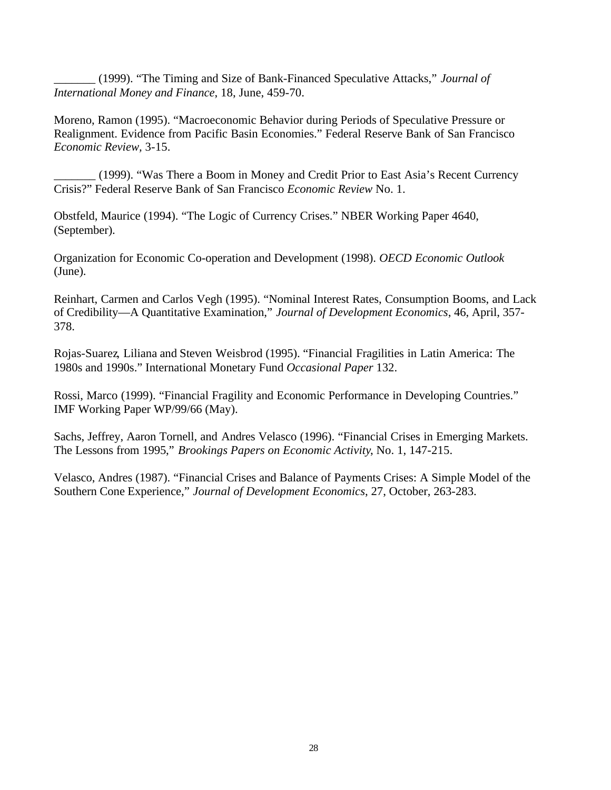\_\_\_\_\_\_\_ (1999). "The Timing and Size of Bank-Financed Speculative Attacks," *Journal of International Money and Finance*, 18, June, 459-70.

Moreno, Ramon (1995). "Macroeconomic Behavior during Periods of Speculative Pressure or Realignment. Evidence from Pacific Basin Economies." Federal Reserve Bank of San Francisco *Economic Review,* 3-15.

\_\_\_\_\_\_\_ (1999). "Was There a Boom in Money and Credit Prior to East Asia's Recent Currency Crisis?" Federal Reserve Bank of San Francisco *Economic Review* No. 1.

Obstfeld, Maurice (1994). "The Logic of Currency Crises." NBER Working Paper 4640, (September).

Organization for Economic Co-operation and Development (1998). *OECD Economic Outlook* (June).

Reinhart, Carmen and Carlos Vegh (1995). "Nominal Interest Rates, Consumption Booms, and Lack of Credibility—A Quantitative Examination," *Journal of Development Economics*, 46, April, 357- 378.

Rojas-Suarez, Liliana and Steven Weisbrod (1995). "Financial Fragilities in Latin America: The 1980s and 1990s." International Monetary Fund *Occasional Paper* 132.

Rossi, Marco (1999). "Financial Fragility and Economic Performance in Developing Countries." IMF Working Paper WP/99/66 (May).

Sachs, Jeffrey, Aaron Tornell, and Andres Velasco (1996). "Financial Crises in Emerging Markets. The Lessons from 1995," *Brookings Papers on Economic Activity*, No. 1, 147-215.

Velasco, Andres (1987). "Financial Crises and Balance of Payments Crises: A Simple Model of the Southern Cone Experience," *Journal of Development Economics*, 27, October, 263-283.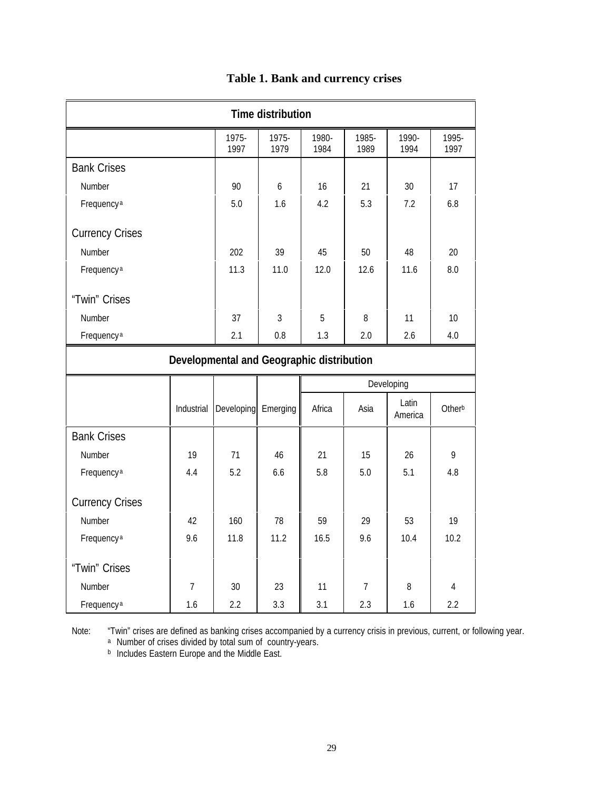|                        |                |                                           | <b>Time distribution</b> |               |               |                  |                |
|------------------------|----------------|-------------------------------------------|--------------------------|---------------|---------------|------------------|----------------|
|                        |                | 1975-<br>1997                             | 1975-<br>1979            | 1980-<br>1984 | 1985-<br>1989 | 1990-<br>1994    | 1995-<br>1997  |
| <b>Bank Crises</b>     |                |                                           |                          |               |               |                  |                |
| Number                 |                | 90                                        | 6                        | 16            | 21            | 30               | 17             |
| Frequency <sup>a</sup> |                | 5.0                                       | 1.6                      | 4.2           | 5.3           | 7.2              | 6.8            |
| <b>Currency Crises</b> |                |                                           |                          |               |               |                  |                |
| Number                 |                | 202                                       | 39                       | 45            | 50            | 48               | 20             |
| Frequency <sup>a</sup> |                | 11.3                                      | 11.0                     | 12.0          | 12.6          | 11.6             | 8.0            |
| "Twin" Crises          |                |                                           |                          |               |               |                  |                |
| Number                 |                | 37                                        | $\overline{3}$           | 5             | 8             | 11               | 10             |
| Frequency <sup>a</sup> |                | 2.1                                       | 0.8                      | 1.3           | 2.0           | 2.6              | 4.0            |
|                        |                | Developmental and Geographic distribution |                          |               |               |                  |                |
|                        |                |                                           |                          |               |               | Developing       |                |
|                        | Industrial     | Developing                                | Emerging                 | Africa        | Asia          | Latin<br>America | Otherb         |
| <b>Bank Crises</b>     |                |                                           |                          |               |               |                  |                |
| Number                 | 19             | 71                                        | 46                       | 21            | 15            | 26               | 9              |
| Frequency <sup>a</sup> | 4.4            | 5.2                                       | 6.6                      | 5.8           | 5.0           | 5.1              | 4.8            |
| <b>Currency Crises</b> |                |                                           |                          |               |               |                  |                |
| Number                 | 42             | 160                                       | 78                       | 59            | 29            | 53               | 19             |
| Frequency <sup>a</sup> | 9.6            | 11.8                                      | 11.2                     | 16.5          | 9.6           | 10.4             | 10.2           |
| "Twin" Crises          |                |                                           |                          |               |               |                  |                |
| Number                 | $\overline{1}$ | 30                                        | 23                       | 11            | 7             | 8                | $\overline{4}$ |
| Frequency <sup>a</sup> | 1.6            | 2.2                                       | 3.3                      | 3.1           | 2.3           | 1.6              | 2.2            |

## **Table 1. Bank and currency crises**

Note: "Twin" crises are defined as banking crises accompanied by a currency crisis in previous, current, or following year.

a Number of crises divided by total sum of country-years.

**b** Includes Eastern Europe and the Middle East.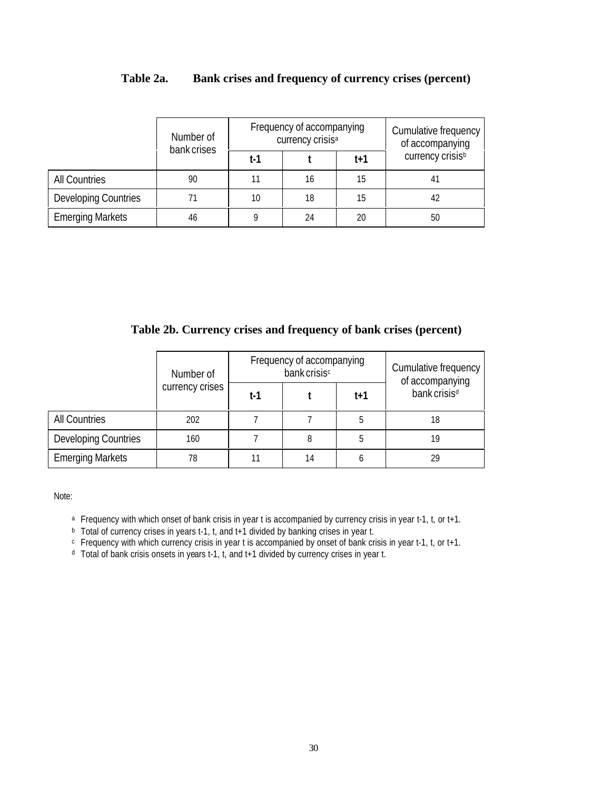|                         | Number of<br>bank crises |     | Frequency of accompanying<br>currency crisis <sup>a</sup> | Cumulative frequency<br>of accompanying |                              |
|-------------------------|--------------------------|-----|-----------------------------------------------------------|-----------------------------------------|------------------------------|
|                         |                          | t-1 |                                                           | $t + 1$                                 | currency crisis <sup>b</sup> |
| <b>All Countries</b>    | 90                       | 11  | 16                                                        | 15                                      | 41                           |
| Developing Countries    | 71                       | 10  | 18                                                        | 15                                      | 42                           |
| <b>Emerging Markets</b> | 46                       |     | 24                                                        | 20                                      | 50                           |

#### **Table 2a. Bank crises and frequency of currency crises (percent)**

**Table 2b. Currency crises and frequency of bank crises (percent)**

|                             | Number of       |       | Frequency of accompanying<br>bank crisisc | Cumulative frequency<br>of accompanying |    |
|-----------------------------|-----------------|-------|-------------------------------------------|-----------------------------------------|----|
|                             | currency crises | $t-1$ |                                           | bank crisis <sup>d</sup><br>$t+1$       |    |
| <b>All Countries</b>        | 202             |       |                                           |                                         | 18 |
| <b>Developing Countries</b> | 160             |       | 8                                         |                                         | 19 |
| <b>Emerging Markets</b>     | 78              |       | 14                                        |                                         | 29 |

Note:

- <sup>a</sup> Frequency with which onset of bank crisis in year t is accompanied by currency crisis in year t-1, t, or t+1.
- b Total of currency crises in years t-1, t, and t+1 divided by banking crises in year t.
- <sup>c</sup> Frequency with which currency crisis in year t is accompanied by onset of bank crisis in year t-1, t, or t+1.
- <sup>d</sup> Total of bank crisis onsets in years t-1, t, and t+1 divided by currency crises in year t.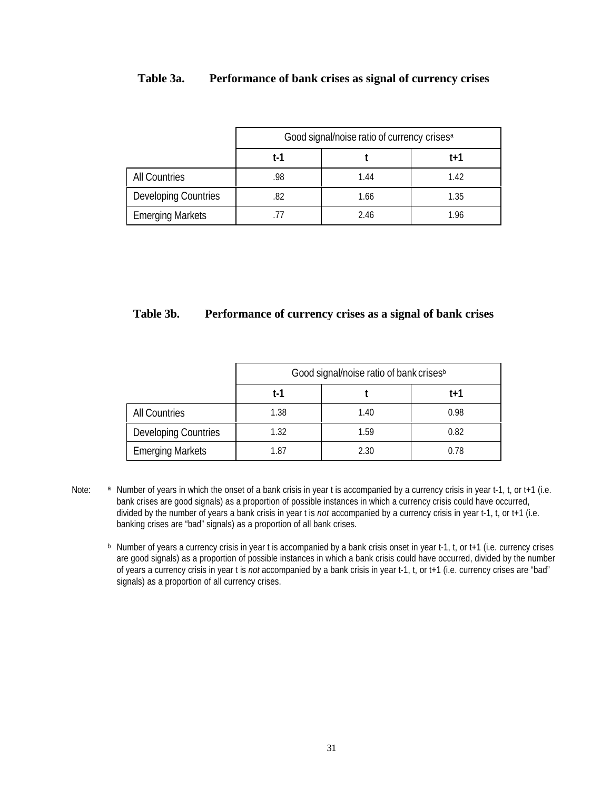#### **Table 3a. Performance of bank crises as signal of currency crises**

|                         | Good signal/noise ratio of currency crises <sup>a</sup> |      |      |  |  |  |  |  |
|-------------------------|---------------------------------------------------------|------|------|--|--|--|--|--|
|                         | t-1                                                     |      | t+1  |  |  |  |  |  |
| <b>All Countries</b>    | .98                                                     | 1.44 | 1.42 |  |  |  |  |  |
| Developing Countries    | .82                                                     | 1.66 | 1.35 |  |  |  |  |  |
| <b>Emerging Markets</b> | 77                                                      | 2.46 | 1.96 |  |  |  |  |  |

#### **Table 3b. Performance of currency crises as a signal of bank crises**

|                         | Good signal/noise ratio of bank crises <sup>b</sup> |      |      |  |  |  |  |  |  |
|-------------------------|-----------------------------------------------------|------|------|--|--|--|--|--|--|
|                         | t-1                                                 |      | t+1  |  |  |  |  |  |  |
| <b>All Countries</b>    | 1.38                                                | 1.40 | 0.98 |  |  |  |  |  |  |
| Developing Countries    | 1.32                                                | 1.59 | 0.82 |  |  |  |  |  |  |
| <b>Emerging Markets</b> | 1.87                                                | 2.30 | 0.78 |  |  |  |  |  |  |

- Note: a Number of years in which the onset of a bank crisis in year t is accompanied by a currency crisis in year t-1, t, or t+1 (i.e. bank crises are good signals) as a proportion of possible instances in which a currency crisis could have occurred, divided by the number of years a bank crisis in year t is *not* accompanied by a currency crisis in year t-1, t, or t+1 (i.e. banking crises are "bad" signals) as a proportion of all bank crises.
	- $b$  Number of years a currency crisis in year t is accompanied by a bank crisis onset in year t-1, t, or t+1 (i.e. currency crises are good signals) as a proportion of possible instances in which a bank crisis could have occurred, divided by the number of years a currency crisis in year t is *not* accompanied by a bank crisis in year t-1, t, or t+1 (i.e. currency crises are "bad" signals) as a proportion of all currency crises.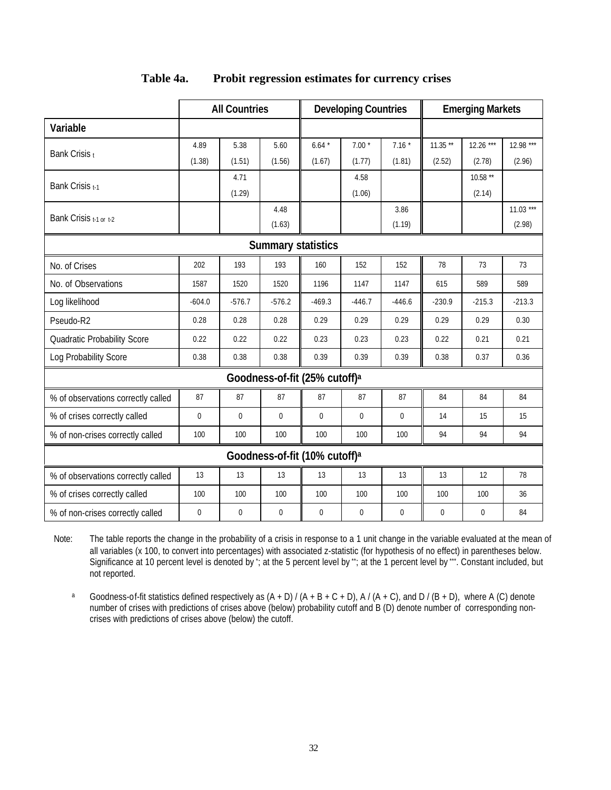| Table 4a. | Probit regression estimates for currency crises |  |
|-----------|-------------------------------------------------|--|
|           |                                                 |  |

|                                    |                | <b>All Countries</b> |              |                                           | <b>Developing Countries</b> |              |              | <b>Emerging Markets</b> |            |
|------------------------------------|----------------|----------------------|--------------|-------------------------------------------|-----------------------------|--------------|--------------|-------------------------|------------|
| Variable                           |                |                      |              |                                           |                             |              |              |                         |            |
|                                    | 4.89           | 5.38                 | 5.60         | $6.64*$                                   | $7.00*$                     | $7.16*$      | $11.35$ **   | $12.26***$              | 12.98 ***  |
| Bank Crisis <sub>t</sub>           | (1.38)         | (1.51)               | (1.56)       | (1.67)                                    | (1.77)                      | (1.81)       | (2.52)       | (2.78)                  | (2.96)     |
| Bank Crisis t-1                    |                | 4.71                 |              |                                           | 4.58                        |              |              | $10.58$ **              |            |
|                                    |                | (1.29)               |              |                                           | (1.06)                      |              |              | (2.14)                  |            |
| Bank Crisis t-1 or t-2             |                |                      | 4.48         |                                           |                             | 3.86         |              |                         | $11.03***$ |
|                                    |                |                      | (1.63)       |                                           |                             | (1.19)       |              |                         | (2.98)     |
|                                    |                |                      |              | <b>Summary statistics</b>                 |                             |              |              |                         |            |
| No. of Crises                      | 202            | 193                  | 193          | 160                                       | 152                         | 152          | 78           | 73                      | 73         |
| No. of Observations                | 1587           | 1520                 | 1520         | 1196                                      | 1147                        | 1147         | 615          | 589                     | 589        |
| Log likelihood                     | $-604.0$       | $-576.7$             | $-576.2$     | $-469.3$                                  | $-446.7$                    | $-446.6$     | $-230.9$     | $-215.3$                | $-213.3$   |
| Pseudo-R2                          | 0.28           | 0.28                 | 0.28         | 0.29                                      | 0.29                        | 0.29         | 0.29         | 0.29                    | 0.30       |
| Quadratic Probability Score        | 0.22           | 0.22                 | 0.22         | 0.23                                      | 0.23                        | 0.23         | 0.22         | 0.21                    | 0.21       |
| Log Probability Score              | 0.38           | 0.38                 | 0.38         | 0.39                                      | 0.39                        | 0.39         | 0.38         | 0.37                    | 0.36       |
|                                    |                |                      |              | Goodness-of-fit (25% cutoff) <sup>a</sup> |                             |              |              |                         |            |
| % of observations correctly called | 87             | 87                   | 87           | 87                                        | 87                          | 87           | 84           | 84                      | 84         |
| % of crises correctly called       | $\overline{0}$ | $\mathbf 0$          | $\mathbf{0}$ | $\mathbf{0}$                              | $\mathbf{0}$                | $\mathbf{0}$ | 14           | 15                      | 15         |
| % of non-crises correctly called   | 100            | 100                  | 100          | 100                                       | 100                         | 100          | 94           | 94                      | 94         |
|                                    |                |                      |              | Goodness-of-fit (10% cutoff) <sup>a</sup> |                             |              |              |                         |            |
| % of observations correctly called | 13             | 13                   | 13           | 13                                        | 13                          | 13           | 13           | 12                      | 78         |
| % of crises correctly called       | 100            | 100                  | 100          | 100                                       | 100                         | 100          | 100          | 100                     | 36         |
| % of non-crises correctly called   | $\overline{0}$ | $\mathbf 0$          | $\mathbf{0}$ | $\mathbf{0}$                              | $\mathbf 0$                 | $\mathbf 0$  | $\mathbf{0}$ | $\mathbf 0$             | 84         |

Note: The table reports the change in the probability of a crisis in response to a 1 unit change in the variable evaluated at the mean of all variables (x 100, to convert into percentages) with associated z-statistic (for hypothesis of no effect) in parentheses below. Significance at 10 percent level is denoted by \*; at the 5 percent level by \*\*; at the 1 percent level by \*\*\*. Constant included, but not reported.

<sup>a</sup> Goodness-of-fit statistics defined respectively as  $(A + D) / (A + B + C + D)$ , A /  $(A + C)$ , and D /  $(B + D)$ , where A (C) denote number of crises with predictions of crises above (below) probability cutoff and B (D) denote number of corresponding noncrises with predictions of crises above (below) the cutoff.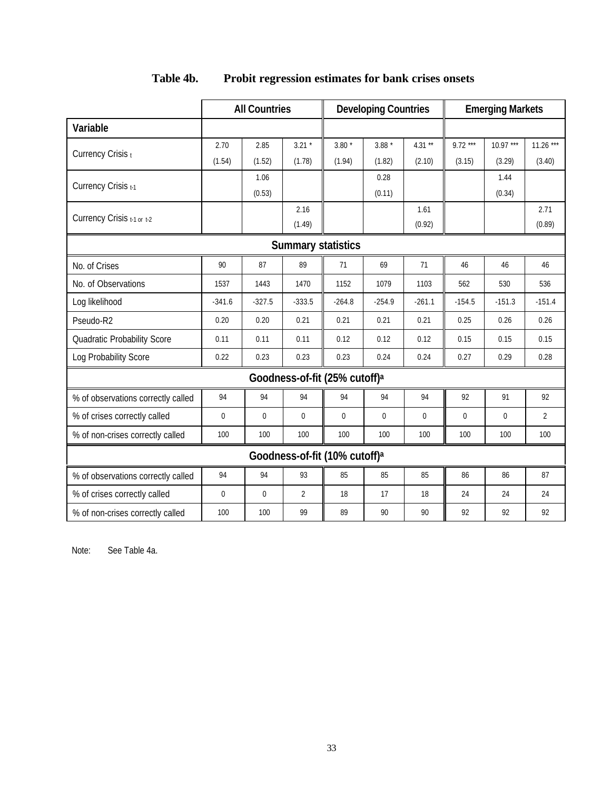|                                  | o                    |        |         |         |                             |         |                         |            |             |
|----------------------------------|----------------------|--------|---------|---------|-----------------------------|---------|-------------------------|------------|-------------|
|                                  | <b>All Countries</b> |        |         |         | <b>Developing Countries</b> |         | <b>Emerging Markets</b> |            |             |
| Variable                         |                      |        |         |         |                             |         |                         |            |             |
|                                  | 2.70                 | 2.85   | $3.21*$ | $3.80*$ | $3.88*$                     | 4.31 ** | $9.72***$               | $10.97***$ | $11.26$ *** |
| Currency Crisis t                | (1.54)               | (1.52) | (1.78)  | (1.94)  | (1.82)                      | (2.10)  | (3.15)                  | (3.29)     | (3.40)      |
| $\sim$ $\cdot$ $\cdot$<br>$\sim$ |                      | 1.06   |         |         | 0.28                        |         |                         | 1.44       |             |

### **Table 4b. Probit regression estimates for bank crises onsets**

| Currency Crisis t-1                |              | (0.53)      |                           |                                           | (0.11)      |                |             | (0.34)      |                |
|------------------------------------|--------------|-------------|---------------------------|-------------------------------------------|-------------|----------------|-------------|-------------|----------------|
| Currency Crisis t-1 or t-2         |              |             | 2.16<br>(1.49)            |                                           |             | 1.61<br>(0.92) |             |             | 2.71<br>(0.89) |
|                                    |              |             | <b>Summary statistics</b> |                                           |             |                |             |             |                |
| No. of Crises                      | 90           | 87          | 89                        | 71                                        | 69          | 71             | 46          | 46          | 46             |
| No. of Observations                | 1537         | 1443        | 1470                      | 1152                                      | 1079        | 1103           | 562         | 530         | 536            |
| Log likelihood                     | $-341.6$     | $-327.5$    | $-333.5$                  | $-264.8$                                  | $-254.9$    | $-261.1$       | $-154.5$    | $-151.3$    | $-151.4$       |
| Pseudo-R2                          | 0.20         | 0.20        | 0.21                      | 0.21                                      | 0.21        | 0.21           | 0.25        | 0.26        | 0.26           |
| Quadratic Probability Score        | 0.11         | 0.11        | 0.11                      | 0.12                                      | 0.12        | 0.12           | 0.15        | 0.15        | 0.15           |
| Log Probability Score              | 0.22         | 0.23        | 0.23                      | 0.23                                      | 0.24        | 0.24           | 0.27        | 0.29        | 0.28           |
|                                    |              |             |                           | Goodness-of-fit (25% cutoff) <sup>a</sup> |             |                |             |             |                |
| % of observations correctly called | 94           | 94          | 94                        | 94                                        | 94          | 94             | 92          | 91          | 92             |
| % of crises correctly called       | $\mathbf{0}$ | $\mathbf 0$ | $\mathbf 0$               | $\mathbf 0$                               | $\mathbf 0$ | $\mathbf 0$    | $\mathbf 0$ | $\mathbf 0$ | 2              |
| % of non-crises correctly called   | 100          | 100         | 100                       | 100                                       | 100         | 100            | 100         | 100         | 100            |
|                                    |              |             |                           | Goodness-of-fit (10% cutoff) <sup>a</sup> |             |                |             |             |                |
| % of observations correctly called | 94           | 94          | 93                        | 85                                        | 85          | 85             | 86          | 86          | 87             |
| % of crises correctly called       | $\mathbf{0}$ | $\mathbf 0$ | $\overline{2}$            | 18                                        | 17          | 18             | 24          | 24          | 24             |
| % of non-crises correctly called   | 100          | 100         | 99                        | 89                                        | 90          | 90             | 92          | 92          | 92             |

Note: See Table 4a.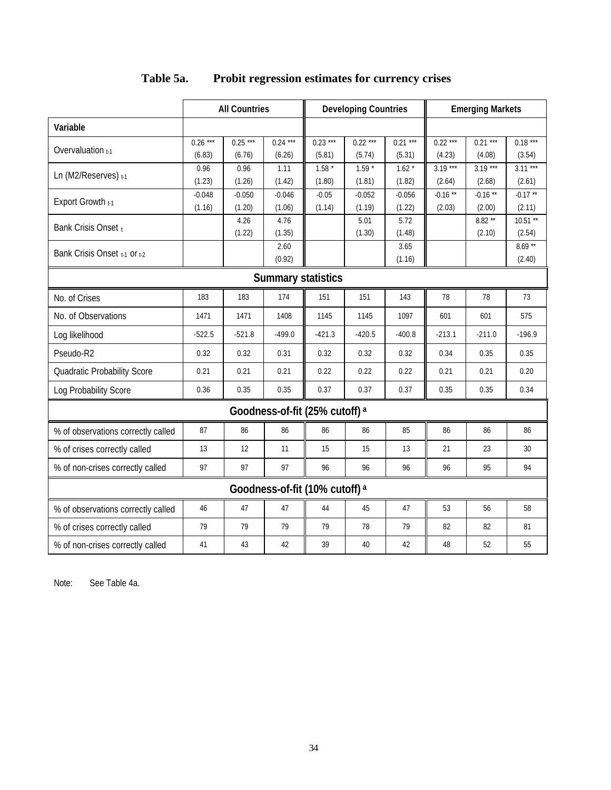| Table 5a. | <b>Probit regression estimates for currency crises</b> |  |  |
|-----------|--------------------------------------------------------|--|--|
|           |                                                        |  |  |

|                                    |           | <b>All Countries</b> |                                |           | <b>Developing Countries</b> |                |            | <b>Emerging Markets</b> |                    |
|------------------------------------|-----------|----------------------|--------------------------------|-----------|-----------------------------|----------------|------------|-------------------------|--------------------|
| Variable                           |           |                      |                                |           |                             |                |            |                         |                    |
|                                    | $0.26***$ | $0.25***$            | $0.24***$                      | $0.23***$ | $0.22***$                   | $0.21***$      | $0.22***$  | $0.21***$               | $0.18***$          |
| Overvaluation $t_1$                | (6.83)    | (6.76)               | (6.26)                         | (5.81)    | (5.74)                      | (5.31)         | (4.23)     | (4.08)                  | (3.54)             |
| Ln (M2/Reserves) t-1               | 0.96      | 0.96                 | 1.11                           | $1.58*$   | $1.59*$                     | $1.62*$        | $3.19***$  | $3.19***$               | $3.11***$          |
|                                    | (1.23)    | (1.26)               | (1.42)                         | (1.80)    | (1.81)                      | (1.82)         | (2.64)     | (2.68)                  | (2.61)             |
| Export Growth t-1                  | $-0.048$  | $-0.050$             | $-0.046$                       | $-0.05$   | $-0.052$                    | $-0.056$       | $-0.16$ ** | $-0.16**$               | $-0.17**$          |
|                                    | (1.16)    | (1.20)               | (1.06)                         | (1.14)    | (1.19)                      | (1.22)         | (2.03)     | (2.00)                  | (2.11)             |
| Bank Crisis Onset t                |           | 4.26<br>(1.22)       | 4.76<br>(1.35)                 |           | 5.01                        | 5.72           |            | $8.82**$                | $10.51**$          |
|                                    |           |                      | 2.60                           |           | (1.30)                      | (1.48)<br>3.65 |            | (2.10)                  | (2.54)<br>$8.69**$ |
| Bank Crisis Onset to or t-2        |           |                      | (0.92)                         |           |                             | (1.16)         |            |                         | (2.40)             |
|                                    |           |                      |                                |           |                             |                |            |                         |                    |
|                                    |           |                      | <b>Summary statistics</b>      |           |                             |                |            |                         |                    |
| No. of Crises                      | 183       | 183                  | 174                            | 151       | 151                         | 143            | 78         | 78                      | 73                 |
| No. of Observations                | 1471      | 1471                 | 1408                           | 1145      | 1145                        | 1097           | 601        | 601                     | 575                |
| Log likelihood                     | $-522.5$  | $-521.8$             | $-499.0$                       | $-421.3$  | $-420.5$                    | $-400.8$       | $-213.1$   | $-211.0$                | $-196.9$           |
| Pseudo-R2                          | 0.32      | 0.32                 | 0.31                           | 0.32      | 0.32                        | 0.32           | 0.34       | 0.35                    | 0.35               |
| Quadratic Probability Score        | 0.21      | 0.21                 | 0.21                           | 0.22      | 0.22                        | 0.22           | 0.21       | 0.21                    | 0.20               |
| Log Probability Score              | 0.36      | 0.35                 | 0.35                           | 0.37      | 0.37                        | 0.37           | 0.35       | 0.35                    | 0.34               |
|                                    |           |                      | Goodness-of-fit (25% cutoff) a |           |                             |                |            |                         |                    |
| % of observations correctly called | 87        | 86                   | 86                             | 86        | 86                          | 85             | 86         | 86                      | 86                 |
| % of crises correctly called       | 13        | 12                   | 11                             | 15        | 15                          | 13             | 21         | 23                      | 30                 |
| % of non-crises correctly called   | 97        | 97                   | 97                             | 96        | 96                          | 96             | 96         | 95                      | 94                 |
|                                    |           |                      | Goodness-of-fit (10% cutoff) a |           |                             |                |            |                         |                    |
| % of observations correctly called | 46        | 47                   | 47                             | 44        | 45                          | 47             | 53         | 56                      | 58                 |
| % of crises correctly called       | 79        | 79                   | 79                             | 79        | 78                          | 79             | 82         | 82                      | 81                 |
| % of non-crises correctly called   | 41        | 43                   | 42                             | 39        | 40                          | 42             | 48         | 52                      | 55                 |

Note: See Table 4a.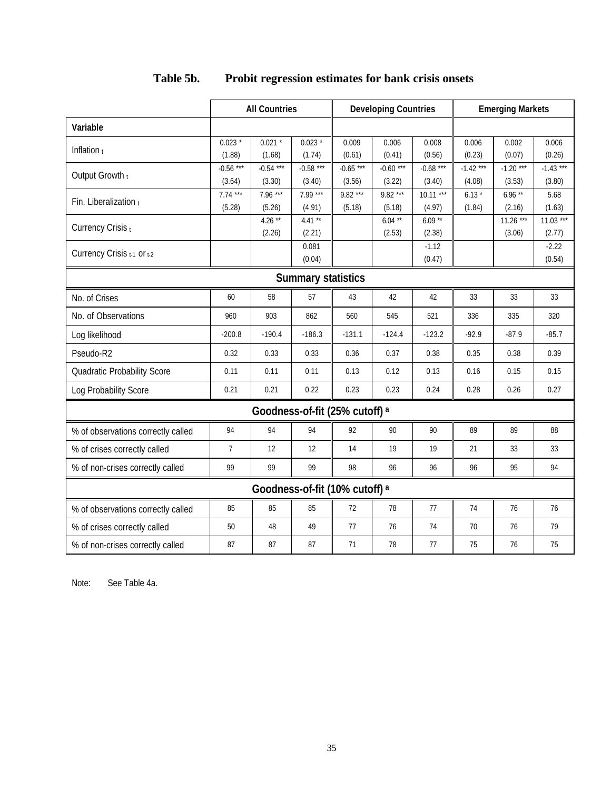|                                    | <b>All Countries</b>  |                      | <b>Developing Countries</b> |                      |                      | <b>Emerging Markets</b> |                      |                      |                       |
|------------------------------------|-----------------------|----------------------|-----------------------------|----------------------|----------------------|-------------------------|----------------------|----------------------|-----------------------|
| Variable                           |                       |                      |                             |                      |                      |                         |                      |                      |                       |
| Inflation $t$                      | $0.023*$<br>(1.88)    | $0.021$ *<br>(1.68)  | $0.023*$<br>(1.74)          | 0.009<br>(0.61)      | 0.006<br>(0.41)      | 0.008<br>(0.56)         | 0.006<br>(0.23)      | 0.002<br>(0.07)      | 0.006<br>(0.26)       |
| Output Growth t                    | $-0.56$ ***<br>(3.64) | $-0.54***$<br>(3.30) | $-0.58$ ***<br>(3.40)       | $-0.65***$<br>(3.56) | $-0.60***$<br>(3.22) | $-0.68$ ***<br>(3.40)   | $-1.42***$<br>(4.08) | $-1.20***$<br>(3.53) | $-1.43***$<br>(3.80)  |
| Fin. Liberalization t              | $7.74***$<br>(5.28)   | $7.96***$<br>(5.26)  | $7.99***$<br>(4.91)         | $9.82***$<br>(5.18)  | $9.82***$<br>(5.18)  | $10.11***$<br>(4.97)    | $6.13*$<br>(1.84)    | $6.96**$<br>(2.16)   | 5.68<br>(1.63)        |
| Currency Crisis t                  |                       | $4.26$ **<br>(2.26)  | $4.41$ **<br>(2.21)         |                      | $6.04$ **<br>(2.53)  | $6.09**$<br>(2.38)      |                      | $11.26***$<br>(3.06) | $11.03$ ***<br>(2.77) |
| Currency Crisis t1 or t2           |                       |                      | 0.081<br>(0.04)             |                      |                      | $-1.12$<br>(0.47)       |                      |                      | $-2.22$<br>(0.54)     |
| <b>Summary statistics</b>          |                       |                      |                             |                      |                      |                         |                      |                      |                       |
| No. of Crises                      | 60                    | 58                   | 57                          | 43                   | 42                   | 42                      | 33                   | 33                   | 33                    |
| No. of Observations                | 960                   | 903                  | 862                         | 560                  | 545                  | 521                     | 336                  | 335                  | 320                   |
| Log likelihood                     | $-200.8$              | $-190.4$             | $-186.3$                    | $-131.1$             | $-124.4$             | $-123.2$                | $-92.9$              | $-87.9$              | $-85.7$               |
| Pseudo-R2                          | 0.32                  | 0.33                 | 0.33                        | 0.36                 | 0.37                 | 0.38                    | 0.35                 | 0.38                 | 0.39                  |
| Quadratic Probability Score        | 0.11                  | 0.11                 | 0.11                        | 0.13                 | 0.12                 | 0.13                    | 0.16                 | 0.15                 | 0.15                  |
| Log Probability Score              | 0.21                  | 0.21                 | 0.22                        | 0.23                 | 0.23                 | 0.24                    | 0.28                 | 0.26                 | 0.27                  |
| Goodness-of-fit (25% cutoff) a     |                       |                      |                             |                      |                      |                         |                      |                      |                       |
| % of observations correctly called | 94                    | 94                   | 94                          | 92                   | 90                   | 90                      | 89                   | 89                   | 88                    |
| % of crises correctly called       | $\overline{7}$        | 12                   | 12                          | 14                   | 19                   | 19                      | 21                   | 33                   | 33                    |
| % of non-crises correctly called   | 99                    | 99                   | 99                          | 98                   | 96                   | 96                      | 96                   | 95                   | 94                    |
| Goodness-of-fit (10% cutoff) a     |                       |                      |                             |                      |                      |                         |                      |                      |                       |
| % of observations correctly called | 85                    | 85                   | 85                          | 72                   | 78                   | 77                      | 74                   | 76                   | 76                    |
| % of crises correctly called       | 50                    | 48                   | 49                          | $77 \,$              | 76                   | 74                      | 70                   | 76                   | 79                    |
| % of non-crises correctly called   | 87                    | 87                   | 87                          | 71                   | 78                   | 77                      | 75                   | 76                   | 75                    |

## **Table 5b. Probit regression estimates for bank crisis onsets**

Note: See Table 4a.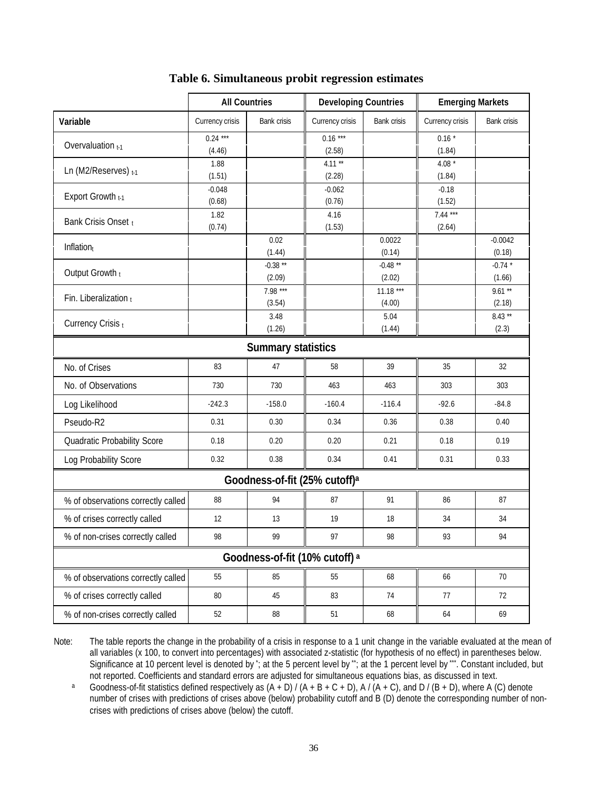|                                    |                                           | <b>All Countries</b>      | <b>Developing Countries</b> |             | <b>Emerging Markets</b> |                    |  |  |
|------------------------------------|-------------------------------------------|---------------------------|-----------------------------|-------------|-------------------------|--------------------|--|--|
| Variable                           | Currency crisis                           | Bank crisis               | Currency crisis             | Bank crisis | Currency crisis         | <b>Bank crisis</b> |  |  |
|                                    | $0.24***$                                 |                           | $0.16***$                   |             | $0.16*$                 |                    |  |  |
| Overvaluation t-1                  | (4.46)                                    |                           | (2.58)                      |             | (1.84)                  |                    |  |  |
| Ln (M2/Reserves) t-1               | 1.88                                      |                           | $4.11***$                   |             | 4.08 $*$                |                    |  |  |
|                                    | (1.51)                                    |                           | (2.28)                      |             | (1.84)                  |                    |  |  |
| Export Growth t-1                  | $-0.048$                                  |                           | $-0.062$                    |             | $-0.18$                 |                    |  |  |
|                                    | (0.68)                                    |                           | (0.76)                      |             | (1.52)                  |                    |  |  |
| Bank Crisis Onset t                | 1.82<br>(0.74)                            |                           | 4.16<br>(1.53)              |             | 7.44 ***<br>(2.64)      |                    |  |  |
|                                    |                                           | 0.02                      |                             | 0.0022      |                         | $-0.0042$          |  |  |
| Inflationt                         |                                           | (1.44)                    |                             | (0.14)      |                         | (0.18)             |  |  |
| Output Growth t                    |                                           | $-0.38$ **                |                             | $-0.48$ **  |                         | $-0.74$ *          |  |  |
|                                    |                                           | (2.09)                    |                             | (2.02)      |                         | (1.66)             |  |  |
| Fin. Liberalization t              |                                           | $7.98***$                 |                             | $11.18***$  |                         | $9.61**$           |  |  |
|                                    |                                           | (3.54)                    |                             | (4.00)      |                         | (2.18)             |  |  |
| Currency Crisis t                  |                                           | 3.48                      |                             | 5.04        |                         | $8.43**$           |  |  |
|                                    |                                           | (1.26)                    |                             | (1.44)      |                         | (2.3)              |  |  |
|                                    |                                           | <b>Summary statistics</b> |                             |             |                         |                    |  |  |
| No. of Crises                      | 83                                        | 47                        | 58                          | 39          | 35                      | 32                 |  |  |
| No. of Observations                | 730                                       | 730                       | 463                         | 463         | 303                     | 303                |  |  |
| Log Likelihood                     | $-242.3$                                  | $-158.0$                  | $-160.4$                    | $-116.4$    | $-92.6$                 | $-84.8$            |  |  |
| Pseudo-R2                          | 0.31                                      | 0.30                      | 0.34                        | 0.36        | 0.38                    | 0.40               |  |  |
| Quadratic Probability Score        | 0.18                                      | 0.20                      | 0.20                        | 0.21        | 0.18                    | 0.19               |  |  |
| Log Probability Score              | 0.32                                      | 0.38                      | 0.34                        | 0.41        | 0.31                    | 0.33               |  |  |
|                                    | Goodness-of-fit (25% cutoff) <sup>a</sup> |                           |                             |             |                         |                    |  |  |
| % of observations correctly called | 88                                        | 94                        | 87                          | 91          | 86                      | 87                 |  |  |
| % of crises correctly called       | 12                                        | 13                        | 19                          | 18          | 34                      | 34                 |  |  |
| % of non-crises correctly called   | 98                                        | 99                        | 97                          | 98          | 93                      | 94                 |  |  |
| Goodness-of-fit (10% cutoff) a     |                                           |                           |                             |             |                         |                    |  |  |
| % of observations correctly called | 55                                        | 85                        | 55                          | 68          | 66                      | 70                 |  |  |
| % of crises correctly called       | 80                                        | 45                        | 83                          | 74          | 77                      | 72                 |  |  |
| % of non-crises correctly called   | 52                                        | 88                        | 51                          | 68          | 64                      | 69                 |  |  |

**Table 6. Simultaneous probit regression estimates**

Note: The table reports the change in the probability of a crisis in response to a 1 unit change in the variable evaluated at the mean of all variables (x 100, to convert into percentages) with associated z-statistic (for hypothesis of no effect) in parentheses below. Significance at 10 percent level is denoted by \*; at the 5 percent level by \*\*; at the 1 percent level by \*\*\*. Constant included, but not reported. Coefficients and standard errors are adjusted for simultaneous equations bias, as discussed in text.

<sup>a</sup> Goodness-of-fit statistics defined respectively as  $(A + D) / (A + B + C + D)$ , A  $/(A + C)$ , and D  $/(B + D)$ , where A (C) denote number of crises with predictions of crises above (below) probability cutoff and B (D) denote the corresponding number of noncrises with predictions of crises above (below) the cutoff.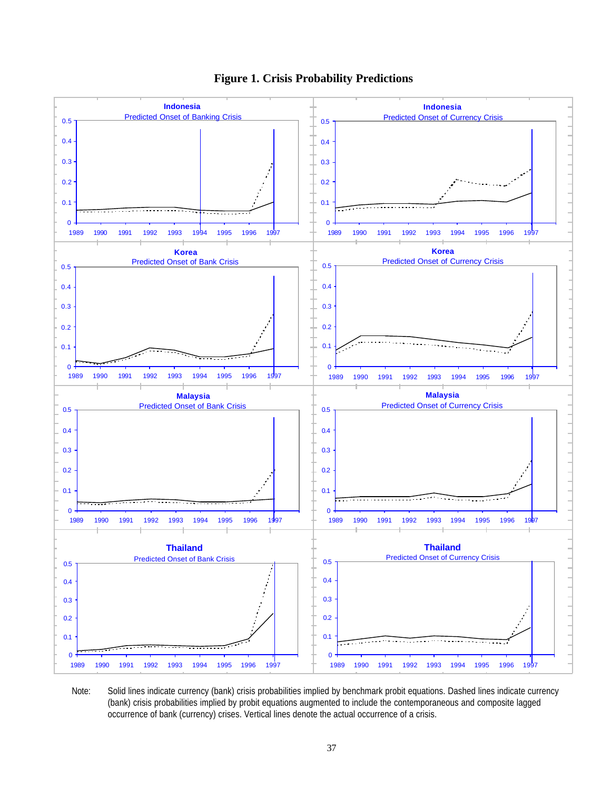

#### **Figure 1. Crisis Probability Predictions**

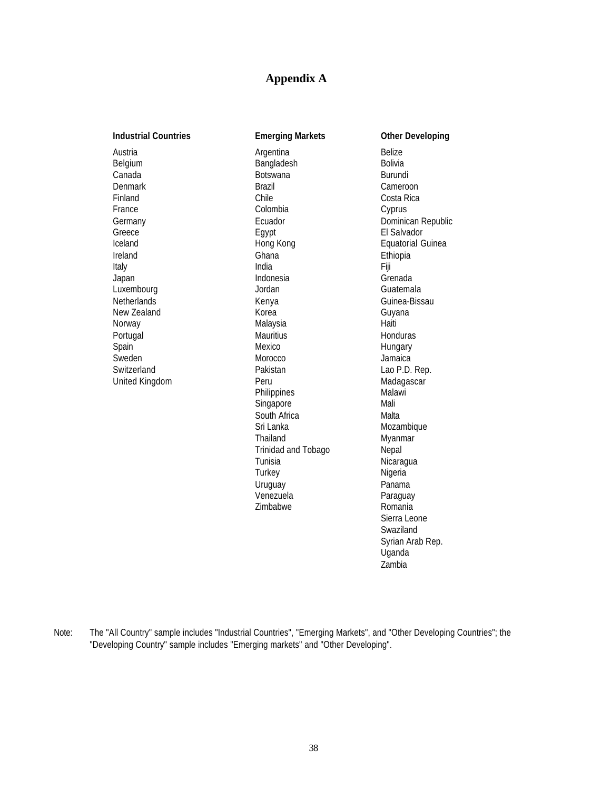#### **Appendix A**

#### **Industrial Countries Emerging Markets Other Developing**

Norway Malaysia

Austria Argentina Belize Bangladesh Bolivia Canada **Botswana** Botswana Burundi Denmark **Brazil** Brazil Cameroon Finland Chile Costa Rica France Colombia Colombia Greece Egypt Egypt El Salvador<br>
El Salvador El Salvador<br>
Equatorial G Ireland Ghana Ethiopia Italy **India** India **Fiji** Japan **Indonesia** Grenada Luxembourg **Calculation** Jordan **Guatemala** Netherlands Kenya Guinea-Bissau New Zealand **Calic Contract Contract Contract Contract Contract Contract Contract Contract Contract Contract Contract Contract Contract Contract Contract Contract Contract Contract Contract Contract Contract Contract Contr** Portugal Mauritius Mauritius Honduras<br>
Maxico Hungary Spain **Mexico** Mexico **Hungary** Sweden Morocco Morocco Jamaica Switzerland **Pakistan** Pakistan **Lao P.D. Rep.** United Kingdom **Peru** Peru Peru Madagascar<br>
Philippines<br>
Philippines Philippines Singapore Mali South Africa Malta Sri Lanka Mozambique Thailand Myanmar Trinidad and Tobago Nepal Tunisia Nicaragua<br>Turkey Nigeria Uruguay Panama Venezuela **Paraguay**<br> **Paraguay**<br> **Paraguay**<br> **Paraguay** Zimbabwe

Germany **Ecuador** Ecuador **Dominican Republic** Hong Kong **Equatorial Guinea** Nigeria Sierra Leone Swaziland Syrian Arab Rep. Uganda Zambia

Note: The "All Country" sample includes "Industrial Countries", "Emerging Markets", and "Other Developing Countries"; the "Developing Country" sample includes "Emerging markets" and "Other Developing".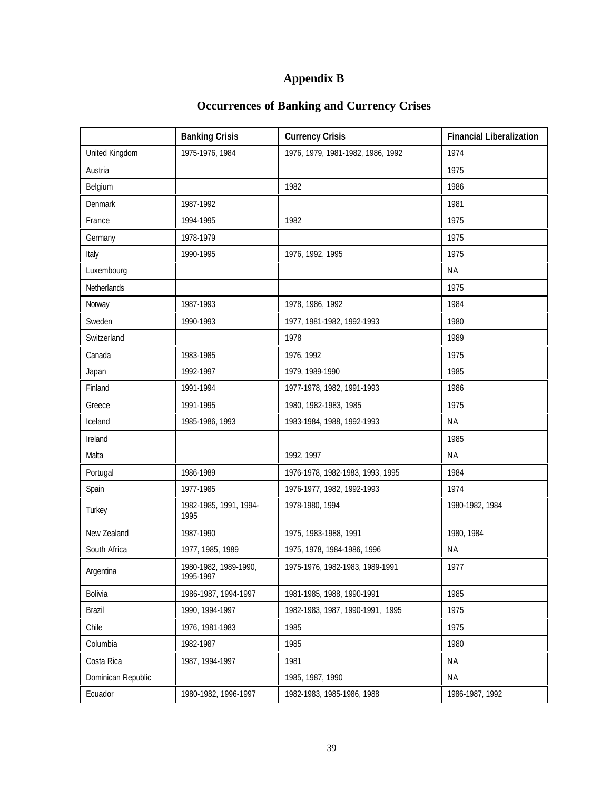## **Appendix B**

## **Occurrences of Banking and Currency Crises**

|                    | <b>Banking Crisis</b>              | <b>Currency Crisis</b>            | <b>Financial Liberalization</b> |
|--------------------|------------------------------------|-----------------------------------|---------------------------------|
| United Kingdom     | 1975-1976, 1984                    | 1976, 1979, 1981-1982, 1986, 1992 | 1974                            |
| Austria            |                                    |                                   | 1975                            |
| Belgium            |                                    | 1982                              | 1986                            |
| Denmark            | 1987-1992                          |                                   | 1981                            |
| France             | 1994-1995                          | 1982                              | 1975                            |
| Germany            | 1978-1979                          |                                   | 1975                            |
| Italy              | 1990-1995                          | 1976, 1992, 1995                  | 1975                            |
| Luxembourg         |                                    |                                   | <b>NA</b>                       |
| Netherlands        |                                    |                                   | 1975                            |
| Norway             | 1987-1993                          | 1978, 1986, 1992                  | 1984                            |
| Sweden             | 1990-1993                          | 1977, 1981-1982, 1992-1993        | 1980                            |
| Switzerland        |                                    | 1978                              | 1989                            |
| Canada             | 1983-1985                          | 1976, 1992                        | 1975                            |
| Japan              | 1992-1997                          | 1979, 1989-1990                   | 1985                            |
| Finland            | 1991-1994                          | 1977-1978, 1982, 1991-1993        | 1986                            |
| Greece             | 1991-1995                          | 1980, 1982-1983, 1985             | 1975                            |
| Iceland            | 1985-1986, 1993                    | 1983-1984, 1988, 1992-1993        | <b>NA</b>                       |
| Ireland            |                                    |                                   | 1985                            |
| Malta              |                                    | 1992, 1997                        | <b>NA</b>                       |
| Portugal           | 1986-1989                          | 1976-1978, 1982-1983, 1993, 1995  | 1984                            |
| Spain              | 1977-1985                          | 1976-1977, 1982, 1992-1993        | 1974                            |
| Turkey             | 1982-1985, 1991, 1994-<br>1995     | 1978-1980, 1994                   | 1980-1982, 1984                 |
| New Zealand        | 1987-1990                          | 1975, 1983-1988, 1991             | 1980, 1984                      |
| South Africa       | 1977, 1985, 1989                   | 1975, 1978, 1984-1986, 1996       | <b>NA</b>                       |
| Argentina          | 1980-1982, 1989-1990,<br>1995-1997 | 1975-1976, 1982-1983, 1989-1991   | 1977                            |
| Bolivia            | 1986-1987, 1994-1997               | 1981-1985, 1988, 1990-1991        | 1985                            |
| Brazil             | 1990, 1994-1997                    | 1982-1983, 1987, 1990-1991, 1995  | 1975                            |
| Chile              | 1976, 1981-1983                    | 1985                              | 1975                            |
| Columbia           | 1982-1987                          | 1985                              | 1980                            |
| Costa Rica         | 1987, 1994-1997                    | 1981                              | <b>NA</b>                       |
| Dominican Republic |                                    | 1985, 1987, 1990                  | NА                              |
| Ecuador            | 1980-1982, 1996-1997               | 1982-1983, 1985-1986, 1988        | 1986-1987, 1992                 |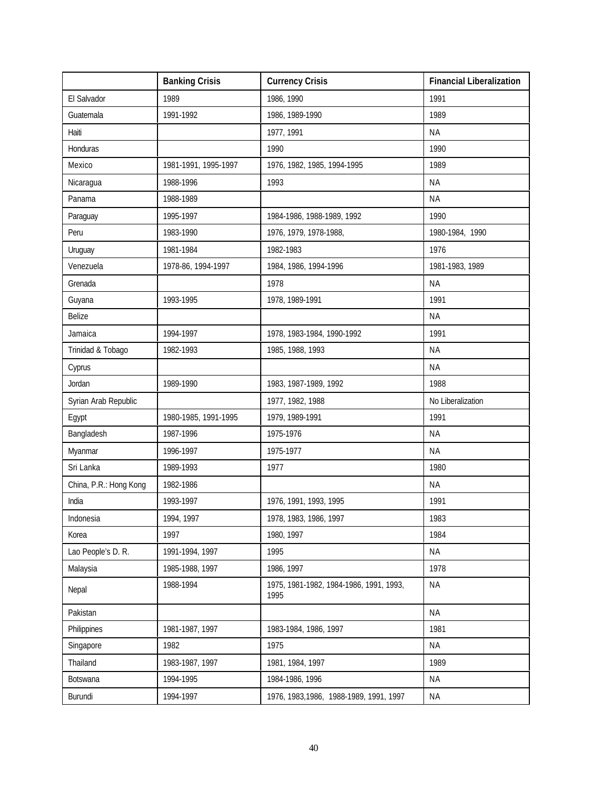|                        | <b>Banking Crisis</b> | <b>Currency Crisis</b>                          | <b>Financial Liberalization</b> |
|------------------------|-----------------------|-------------------------------------------------|---------------------------------|
| El Salvador            | 1989                  | 1986, 1990                                      | 1991                            |
| Guatemala              | 1991-1992             | 1986, 1989-1990                                 | 1989                            |
| Haiti                  |                       | 1977, 1991                                      | <b>NA</b>                       |
| Honduras               |                       | 1990                                            | 1990                            |
| Mexico                 | 1981-1991, 1995-1997  | 1976, 1982, 1985, 1994-1995                     | 1989                            |
| Nicaragua              | 1988-1996             | 1993                                            | <b>NA</b>                       |
| Panama                 | 1988-1989             |                                                 | <b>NA</b>                       |
| Paraguay               | 1995-1997             | 1984-1986, 1988-1989, 1992                      | 1990                            |
| Peru                   | 1983-1990             | 1976, 1979, 1978-1988,                          | 1980-1984, 1990                 |
| Uruguay                | 1981-1984             | 1982-1983                                       | 1976                            |
| Venezuela              | 1978-86, 1994-1997    | 1984, 1986, 1994-1996                           | 1981-1983, 1989                 |
| Grenada                |                       | 1978                                            | <b>NA</b>                       |
| Guyana                 | 1993-1995             | 1978, 1989-1991                                 | 1991                            |
| Belize                 |                       |                                                 | <b>NA</b>                       |
| Jamaica                | 1994-1997             | 1978, 1983-1984, 1990-1992                      | 1991                            |
| Trinidad & Tobago      | 1982-1993             | 1985, 1988, 1993                                | <b>NA</b>                       |
| Cyprus                 |                       |                                                 | <b>NA</b>                       |
| Jordan                 | 1989-1990             | 1983, 1987-1989, 1992                           | 1988                            |
| Syrian Arab Republic   |                       | 1977, 1982, 1988                                | No Liberalization               |
| Egypt                  | 1980-1985, 1991-1995  | 1979, 1989-1991                                 | 1991                            |
| Bangladesh             | 1987-1996             | 1975-1976                                       | <b>NA</b>                       |
| Myanmar                | 1996-1997             | 1975-1977                                       | <b>NA</b>                       |
| Sri Lanka              | 1989-1993             | 1977                                            | 1980                            |
| China, P.R.: Hong Kong | 1982-1986             |                                                 | <b>NA</b>                       |
| India                  | 1993-1997             | 1976, 1991, 1993, 1995                          | 1991                            |
| Indonesia              | 1994, 1997            | 1978, 1983, 1986, 1997                          | 1983                            |
| Korea                  | 1997                  | 1980, 1997                                      | 1984                            |
| Lao People's D. R.     | 1991-1994, 1997       | 1995                                            | <b>NA</b>                       |
| Malaysia               | 1985-1988, 1997       | 1986, 1997                                      | 1978                            |
| Nepal                  | 1988-1994             | 1975, 1981-1982, 1984-1986, 1991, 1993,<br>1995 | <b>NA</b>                       |
| Pakistan               |                       |                                                 | <b>NA</b>                       |
| Philippines            | 1981-1987, 1997       | 1983-1984, 1986, 1997                           | 1981                            |
| Singapore              | 1982                  | 1975                                            | <b>NA</b>                       |
| Thailand               | 1983-1987, 1997       | 1981, 1984, 1997                                | 1989                            |
| Botswana               | 1994-1995             | 1984-1986, 1996                                 | ΝA                              |
| Burundi                | 1994-1997             | 1976, 1983, 1986, 1988-1989, 1991, 1997         | ΝA                              |